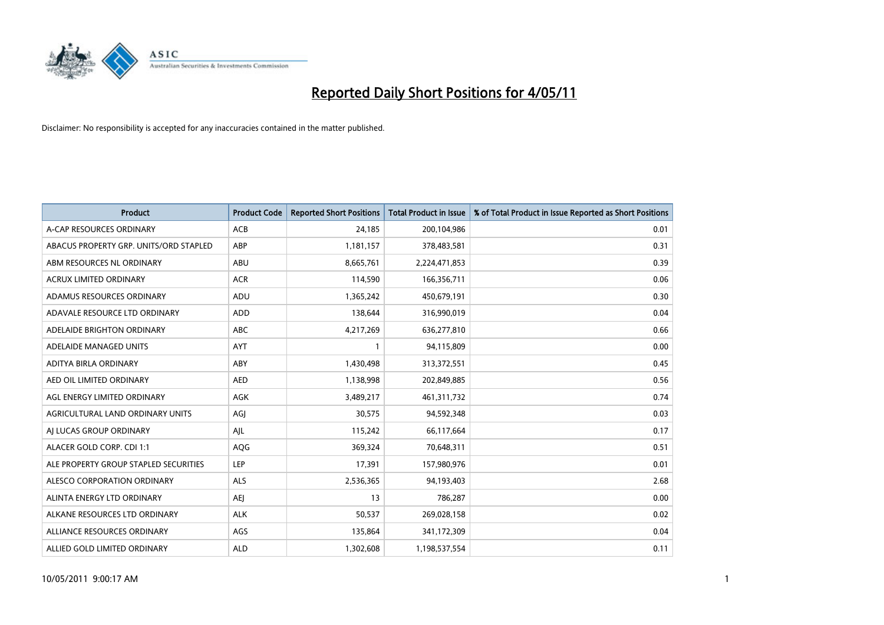

| <b>Product</b>                         | <b>Product Code</b> | <b>Reported Short Positions</b> | Total Product in Issue | % of Total Product in Issue Reported as Short Positions |
|----------------------------------------|---------------------|---------------------------------|------------------------|---------------------------------------------------------|
| A-CAP RESOURCES ORDINARY               | <b>ACB</b>          | 24,185                          | 200,104,986            | 0.01                                                    |
| ABACUS PROPERTY GRP. UNITS/ORD STAPLED | ABP                 | 1,181,157                       | 378,483,581            | 0.31                                                    |
| ABM RESOURCES NL ORDINARY              | ABU                 | 8,665,761                       | 2,224,471,853          | 0.39                                                    |
| ACRUX LIMITED ORDINARY                 | <b>ACR</b>          | 114,590                         | 166,356,711            | 0.06                                                    |
| ADAMUS RESOURCES ORDINARY              | ADU                 | 1,365,242                       | 450,679,191            | 0.30                                                    |
| ADAVALE RESOURCE LTD ORDINARY          | ADD                 | 138,644                         | 316,990,019            | 0.04                                                    |
| ADELAIDE BRIGHTON ORDINARY             | <b>ABC</b>          | 4,217,269                       | 636,277,810            | 0.66                                                    |
| ADELAIDE MANAGED UNITS                 | <b>AYT</b>          |                                 | 94,115,809             | 0.00                                                    |
| ADITYA BIRLA ORDINARY                  | ABY                 | 1,430,498                       | 313,372,551            | 0.45                                                    |
| AED OIL LIMITED ORDINARY               | <b>AED</b>          | 1,138,998                       | 202,849,885            | 0.56                                                    |
| AGL ENERGY LIMITED ORDINARY            | <b>AGK</b>          | 3,489,217                       | 461,311,732            | 0.74                                                    |
| AGRICULTURAL LAND ORDINARY UNITS       | AGJ                 | 30,575                          | 94,592,348             | 0.03                                                    |
| AI LUCAS GROUP ORDINARY                | AJL                 | 115,242                         | 66,117,664             | 0.17                                                    |
| ALACER GOLD CORP. CDI 1:1              | AQG                 | 369,324                         | 70,648,311             | 0.51                                                    |
| ALE PROPERTY GROUP STAPLED SECURITIES  | <b>LEP</b>          | 17,391                          | 157,980,976            | 0.01                                                    |
| ALESCO CORPORATION ORDINARY            | ALS                 | 2,536,365                       | 94,193,403             | 2.68                                                    |
| ALINTA ENERGY LTD ORDINARY             | <b>AEI</b>          | 13                              | 786,287                | 0.00                                                    |
| ALKANE RESOURCES LTD ORDINARY          | <b>ALK</b>          | 50,537                          | 269,028,158            | 0.02                                                    |
| ALLIANCE RESOURCES ORDINARY            | AGS                 | 135,864                         | 341,172,309            | 0.04                                                    |
| ALLIED GOLD LIMITED ORDINARY           | <b>ALD</b>          | 1,302,608                       | 1,198,537,554          | 0.11                                                    |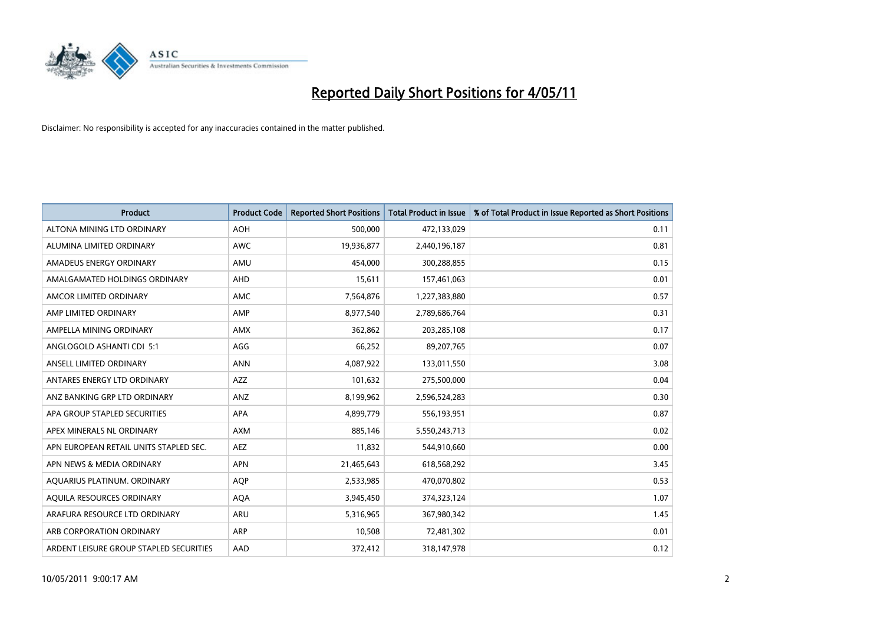

| <b>Product</b>                          | <b>Product Code</b> | <b>Reported Short Positions</b> | Total Product in Issue | % of Total Product in Issue Reported as Short Positions |
|-----------------------------------------|---------------------|---------------------------------|------------------------|---------------------------------------------------------|
| ALTONA MINING LTD ORDINARY              | <b>AOH</b>          | 500,000                         | 472,133,029            | 0.11                                                    |
| ALUMINA LIMITED ORDINARY                | <b>AWC</b>          | 19,936,877                      | 2,440,196,187          | 0.81                                                    |
| AMADEUS ENERGY ORDINARY                 | AMU                 | 454,000                         | 300,288,855            | 0.15                                                    |
| AMALGAMATED HOLDINGS ORDINARY           | AHD                 | 15,611                          | 157,461,063            | 0.01                                                    |
| AMCOR LIMITED ORDINARY                  | <b>AMC</b>          | 7,564,876                       | 1,227,383,880          | 0.57                                                    |
| AMP LIMITED ORDINARY                    | AMP                 | 8,977,540                       | 2,789,686,764          | 0.31                                                    |
| AMPELLA MINING ORDINARY                 | <b>AMX</b>          | 362,862                         | 203,285,108            | 0.17                                                    |
| ANGLOGOLD ASHANTI CDI 5:1               | AGG                 | 66,252                          | 89,207,765             | 0.07                                                    |
| ANSELL LIMITED ORDINARY                 | <b>ANN</b>          | 4,087,922                       | 133,011,550            | 3.08                                                    |
| ANTARES ENERGY LTD ORDINARY             | <b>AZZ</b>          | 101,632                         | 275,500,000            | 0.04                                                    |
| ANZ BANKING GRP LTD ORDINARY            | <b>ANZ</b>          | 8,199,962                       | 2,596,524,283          | 0.30                                                    |
| APA GROUP STAPLED SECURITIES            | <b>APA</b>          | 4,899,779                       | 556,193,951            | 0.87                                                    |
| APEX MINERALS NL ORDINARY               | <b>AXM</b>          | 885,146                         | 5,550,243,713          | 0.02                                                    |
| APN EUROPEAN RETAIL UNITS STAPLED SEC.  | <b>AEZ</b>          | 11,832                          | 544,910,660            | 0.00                                                    |
| APN NEWS & MEDIA ORDINARY               | <b>APN</b>          | 21,465,643                      | 618,568,292            | 3.45                                                    |
| AQUARIUS PLATINUM. ORDINARY             | <b>AOP</b>          | 2,533,985                       | 470,070,802            | 0.53                                                    |
| AQUILA RESOURCES ORDINARY               | <b>AQA</b>          | 3,945,450                       | 374,323,124            | 1.07                                                    |
| ARAFURA RESOURCE LTD ORDINARY           | <b>ARU</b>          | 5,316,965                       | 367,980,342            | 1.45                                                    |
| ARB CORPORATION ORDINARY                | <b>ARP</b>          | 10,508                          | 72,481,302             | 0.01                                                    |
| ARDENT LEISURE GROUP STAPLED SECURITIES | AAD                 | 372,412                         | 318,147,978            | 0.12                                                    |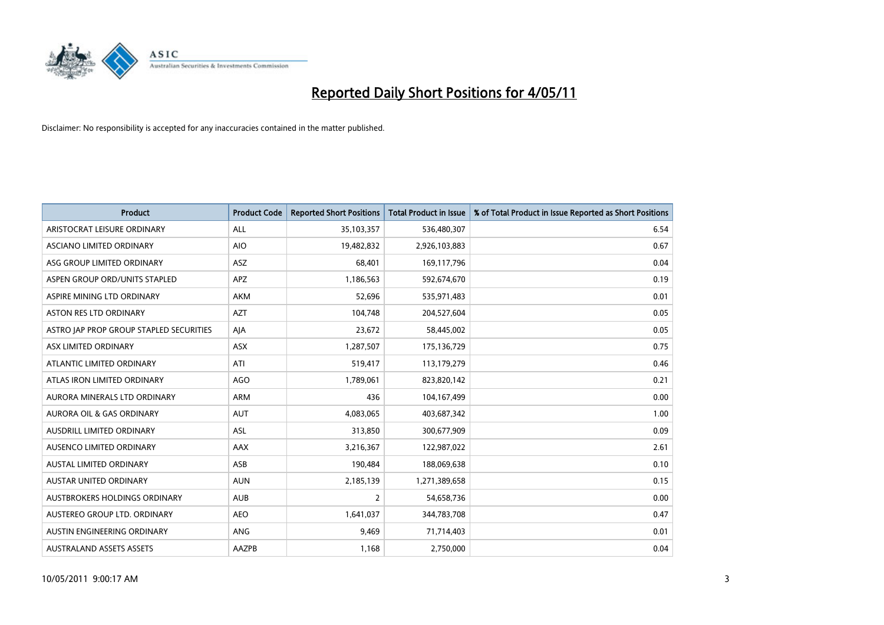

| <b>Product</b>                          | <b>Product Code</b> | <b>Reported Short Positions</b> | Total Product in Issue | % of Total Product in Issue Reported as Short Positions |
|-----------------------------------------|---------------------|---------------------------------|------------------------|---------------------------------------------------------|
| ARISTOCRAT LEISURE ORDINARY             | ALL                 | 35,103,357                      | 536,480,307            | 6.54                                                    |
| ASCIANO LIMITED ORDINARY                | <b>AIO</b>          | 19,482,832                      | 2,926,103,883          | 0.67                                                    |
| ASG GROUP LIMITED ORDINARY              | ASZ                 | 68,401                          | 169,117,796            | 0.04                                                    |
| ASPEN GROUP ORD/UNITS STAPLED           | APZ                 | 1,186,563                       | 592,674,670            | 0.19                                                    |
| ASPIRE MINING LTD ORDINARY              | <b>AKM</b>          | 52,696                          | 535,971,483            | 0.01                                                    |
| <b>ASTON RES LTD ORDINARY</b>           | <b>AZT</b>          | 104,748                         | 204,527,604            | 0.05                                                    |
| ASTRO JAP PROP GROUP STAPLED SECURITIES | AJA                 | 23,672                          | 58,445,002             | 0.05                                                    |
| ASX LIMITED ORDINARY                    | ASX                 | 1,287,507                       | 175,136,729            | 0.75                                                    |
| ATLANTIC LIMITED ORDINARY               | ATI                 | 519,417                         | 113,179,279            | 0.46                                                    |
| ATLAS IRON LIMITED ORDINARY             | <b>AGO</b>          | 1,789,061                       | 823,820,142            | 0.21                                                    |
| AURORA MINERALS LTD ORDINARY            | <b>ARM</b>          | 436                             | 104,167,499            | 0.00                                                    |
| AURORA OIL & GAS ORDINARY               | <b>AUT</b>          | 4,083,065                       | 403,687,342            | 1.00                                                    |
| AUSDRILL LIMITED ORDINARY               | ASL                 | 313,850                         | 300,677,909            | 0.09                                                    |
| AUSENCO LIMITED ORDINARY                | <b>AAX</b>          | 3,216,367                       | 122,987,022            | 2.61                                                    |
| <b>AUSTAL LIMITED ORDINARY</b>          | ASB                 | 190,484                         | 188,069,638            | 0.10                                                    |
| <b>AUSTAR UNITED ORDINARY</b>           | <b>AUN</b>          | 2,185,139                       | 1,271,389,658          | 0.15                                                    |
| AUSTBROKERS HOLDINGS ORDINARY           | <b>AUB</b>          | $\overline{2}$                  | 54,658,736             | 0.00                                                    |
| AUSTEREO GROUP LTD. ORDINARY            | <b>AEO</b>          | 1,641,037                       | 344,783,708            | 0.47                                                    |
| AUSTIN ENGINEERING ORDINARY             | <b>ANG</b>          | 9,469                           | 71,714,403             | 0.01                                                    |
| <b>AUSTRALAND ASSETS ASSETS</b>         | AAZPB               | 1,168                           | 2,750,000              | 0.04                                                    |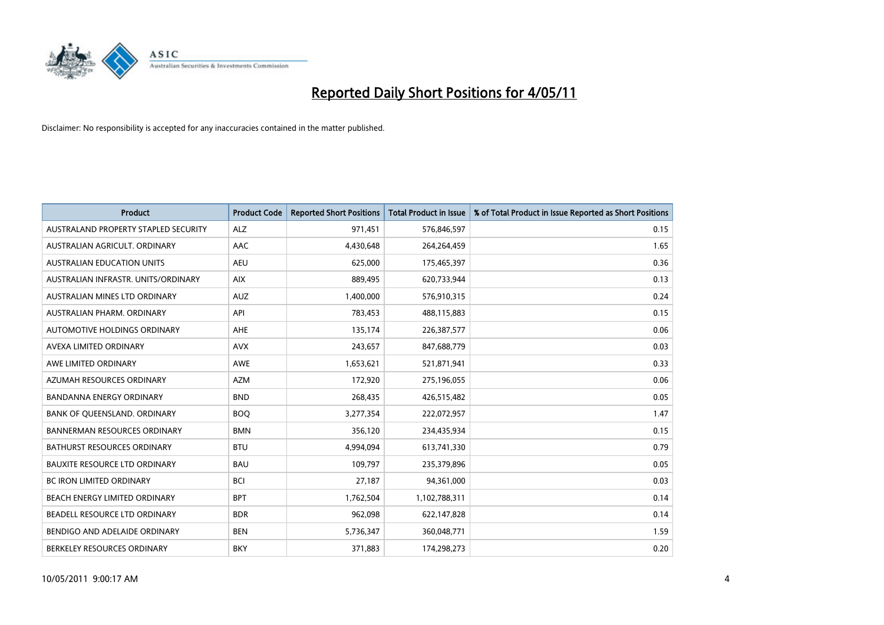

| <b>Product</b>                       | <b>Product Code</b> | <b>Reported Short Positions</b> | Total Product in Issue | % of Total Product in Issue Reported as Short Positions |
|--------------------------------------|---------------------|---------------------------------|------------------------|---------------------------------------------------------|
| AUSTRALAND PROPERTY STAPLED SECURITY | <b>ALZ</b>          | 971,451                         | 576,846,597            | 0.15                                                    |
| AUSTRALIAN AGRICULT. ORDINARY        | AAC                 | 4,430,648                       | 264,264,459            | 1.65                                                    |
| <b>AUSTRALIAN EDUCATION UNITS</b>    | <b>AEU</b>          | 625.000                         | 175,465,397            | 0.36                                                    |
| AUSTRALIAN INFRASTR. UNITS/ORDINARY  | <b>AIX</b>          | 889,495                         | 620,733,944            | 0.13                                                    |
| AUSTRALIAN MINES LTD ORDINARY        | <b>AUZ</b>          | 1,400,000                       | 576,910,315            | 0.24                                                    |
| AUSTRALIAN PHARM, ORDINARY           | API                 | 783,453                         | 488,115,883            | 0.15                                                    |
| AUTOMOTIVE HOLDINGS ORDINARY         | <b>AHE</b>          | 135,174                         | 226,387,577            | 0.06                                                    |
| AVEXA LIMITED ORDINARY               | <b>AVX</b>          | 243,657                         | 847,688,779            | 0.03                                                    |
| AWE LIMITED ORDINARY                 | <b>AWE</b>          | 1,653,621                       | 521,871,941            | 0.33                                                    |
| AZUMAH RESOURCES ORDINARY            | <b>AZM</b>          | 172,920                         | 275,196,055            | 0.06                                                    |
| BANDANNA ENERGY ORDINARY             | <b>BND</b>          | 268,435                         | 426,515,482            | 0.05                                                    |
| BANK OF QUEENSLAND. ORDINARY         | <b>BOO</b>          | 3,277,354                       | 222,072,957            | 1.47                                                    |
| <b>BANNERMAN RESOURCES ORDINARY</b>  | <b>BMN</b>          | 356,120                         | 234,435,934            | 0.15                                                    |
| <b>BATHURST RESOURCES ORDINARY</b>   | <b>BTU</b>          | 4,994,094                       | 613,741,330            | 0.79                                                    |
| <b>BAUXITE RESOURCE LTD ORDINARY</b> | <b>BAU</b>          | 109,797                         | 235,379,896            | 0.05                                                    |
| BC IRON LIMITED ORDINARY             | <b>BCI</b>          | 27,187                          | 94,361,000             | 0.03                                                    |
| BEACH ENERGY LIMITED ORDINARY        | <b>BPT</b>          | 1,762,504                       | 1,102,788,311          | 0.14                                                    |
| BEADELL RESOURCE LTD ORDINARY        | <b>BDR</b>          | 962,098                         | 622,147,828            | 0.14                                                    |
| BENDIGO AND ADELAIDE ORDINARY        | <b>BEN</b>          | 5,736,347                       | 360,048,771            | 1.59                                                    |
| BERKELEY RESOURCES ORDINARY          | <b>BKY</b>          | 371,883                         | 174,298,273            | 0.20                                                    |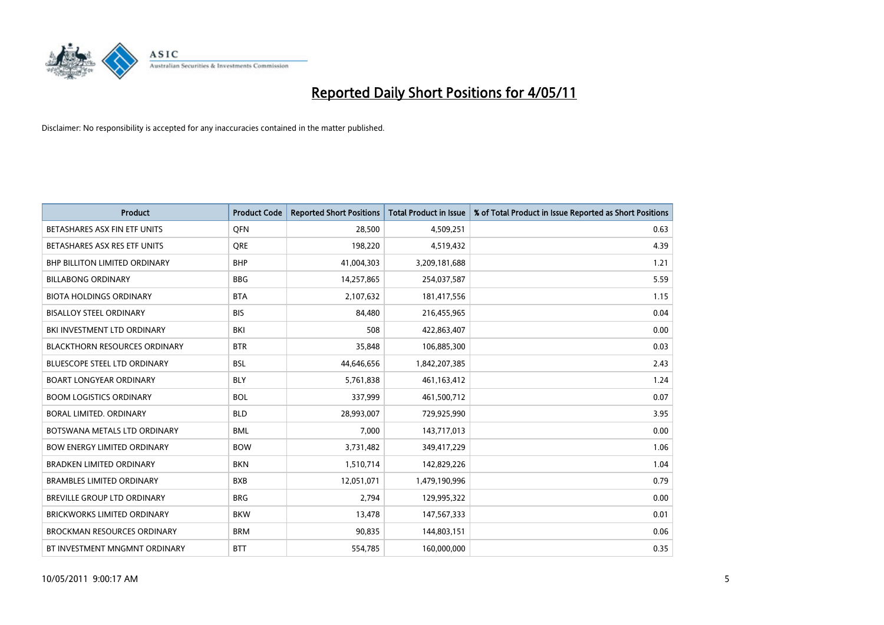

| <b>Product</b>                       | <b>Product Code</b> | <b>Reported Short Positions</b> | <b>Total Product in Issue</b> | % of Total Product in Issue Reported as Short Positions |
|--------------------------------------|---------------------|---------------------------------|-------------------------------|---------------------------------------------------------|
| BETASHARES ASX FIN ETF UNITS         | <b>OFN</b>          | 28,500                          | 4,509,251                     | 0.63                                                    |
| BETASHARES ASX RES ETF UNITS         | <b>ORE</b>          | 198,220                         | 4,519,432                     | 4.39                                                    |
| <b>BHP BILLITON LIMITED ORDINARY</b> | <b>BHP</b>          | 41,004,303                      | 3,209,181,688                 | 1.21                                                    |
| <b>BILLABONG ORDINARY</b>            | <b>BBG</b>          | 14,257,865                      | 254,037,587                   | 5.59                                                    |
| <b>BIOTA HOLDINGS ORDINARY</b>       | <b>BTA</b>          | 2,107,632                       | 181,417,556                   | 1.15                                                    |
| <b>BISALLOY STEEL ORDINARY</b>       | <b>BIS</b>          | 84.480                          | 216,455,965                   | 0.04                                                    |
| BKI INVESTMENT LTD ORDINARY          | <b>BKI</b>          | 508                             | 422,863,407                   | 0.00                                                    |
| <b>BLACKTHORN RESOURCES ORDINARY</b> | <b>BTR</b>          | 35,848                          | 106,885,300                   | 0.03                                                    |
| <b>BLUESCOPE STEEL LTD ORDINARY</b>  | <b>BSL</b>          | 44,646,656                      | 1,842,207,385                 | 2.43                                                    |
| <b>BOART LONGYEAR ORDINARY</b>       | <b>BLY</b>          | 5,761,838                       | 461, 163, 412                 | 1.24                                                    |
| <b>BOOM LOGISTICS ORDINARY</b>       | <b>BOL</b>          | 337,999                         | 461,500,712                   | 0.07                                                    |
| BORAL LIMITED, ORDINARY              | <b>BLD</b>          | 28,993,007                      | 729,925,990                   | 3.95                                                    |
| BOTSWANA METALS LTD ORDINARY         | <b>BML</b>          | 7,000                           | 143,717,013                   | 0.00                                                    |
| <b>BOW ENERGY LIMITED ORDINARY</b>   | <b>BOW</b>          | 3,731,482                       | 349,417,229                   | 1.06                                                    |
| <b>BRADKEN LIMITED ORDINARY</b>      | <b>BKN</b>          | 1,510,714                       | 142,829,226                   | 1.04                                                    |
| <b>BRAMBLES LIMITED ORDINARY</b>     | <b>BXB</b>          | 12,051,071                      | 1,479,190,996                 | 0.79                                                    |
| BREVILLE GROUP LTD ORDINARY          | <b>BRG</b>          | 2,794                           | 129,995,322                   | 0.00                                                    |
| <b>BRICKWORKS LIMITED ORDINARY</b>   | <b>BKW</b>          | 13,478                          | 147,567,333                   | 0.01                                                    |
| <b>BROCKMAN RESOURCES ORDINARY</b>   | <b>BRM</b>          | 90,835                          | 144,803,151                   | 0.06                                                    |
| BT INVESTMENT MNGMNT ORDINARY        | <b>BTT</b>          | 554,785                         | 160,000,000                   | 0.35                                                    |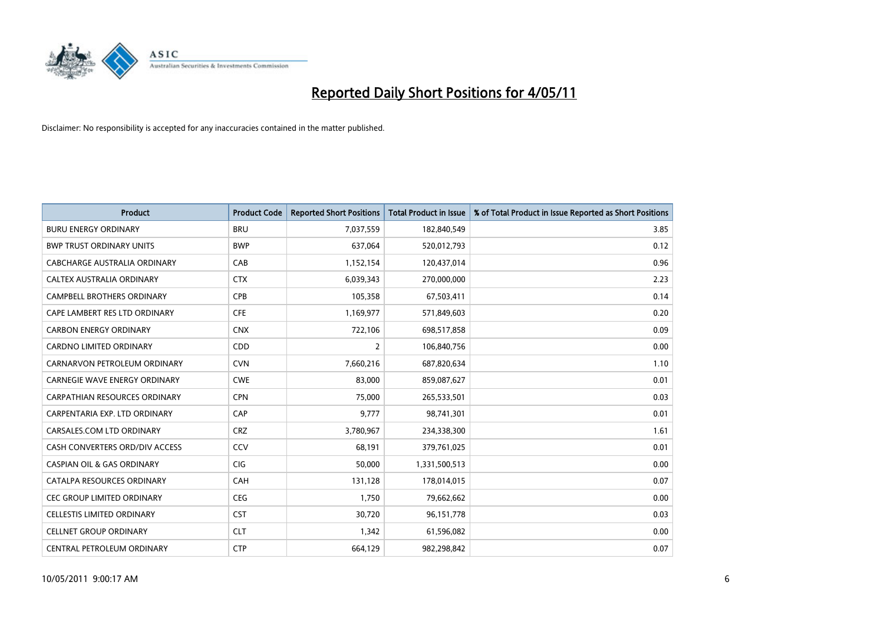

| <b>Product</b>                        | <b>Product Code</b> | <b>Reported Short Positions</b> | Total Product in Issue | % of Total Product in Issue Reported as Short Positions |
|---------------------------------------|---------------------|---------------------------------|------------------------|---------------------------------------------------------|
| <b>BURU ENERGY ORDINARY</b>           | <b>BRU</b>          | 7,037,559                       | 182,840,549            | 3.85                                                    |
| <b>BWP TRUST ORDINARY UNITS</b>       | <b>BWP</b>          | 637.064                         | 520,012,793            | 0.12                                                    |
| CABCHARGE AUSTRALIA ORDINARY          | CAB                 | 1,152,154                       | 120,437,014            | 0.96                                                    |
| CALTEX AUSTRALIA ORDINARY             | <b>CTX</b>          | 6,039,343                       | 270,000,000            | 2.23                                                    |
| <b>CAMPBELL BROTHERS ORDINARY</b>     | CPB                 | 105,358                         | 67,503,411             | 0.14                                                    |
| CAPE LAMBERT RES LTD ORDINARY         | <b>CFE</b>          | 1,169,977                       | 571,849,603            | 0.20                                                    |
| <b>CARBON ENERGY ORDINARY</b>         | <b>CNX</b>          | 722,106                         | 698,517,858            | 0.09                                                    |
| CARDNO LIMITED ORDINARY               | CDD                 | $\overline{2}$                  | 106,840,756            | 0.00                                                    |
| CARNARVON PETROLEUM ORDINARY          | <b>CVN</b>          | 7,660,216                       | 687,820,634            | 1.10                                                    |
| <b>CARNEGIE WAVE ENERGY ORDINARY</b>  | <b>CWE</b>          | 83,000                          | 859,087,627            | 0.01                                                    |
| <b>CARPATHIAN RESOURCES ORDINARY</b>  | <b>CPN</b>          | 75,000                          | 265,533,501            | 0.03                                                    |
| CARPENTARIA EXP. LTD ORDINARY         | CAP                 | 9,777                           | 98,741,301             | 0.01                                                    |
| CARSALES.COM LTD ORDINARY             | <b>CRZ</b>          | 3,780,967                       | 234,338,300            | 1.61                                                    |
| CASH CONVERTERS ORD/DIV ACCESS        | CCV                 | 68,191                          | 379,761,025            | 0.01                                                    |
| <b>CASPIAN OIL &amp; GAS ORDINARY</b> | <b>CIG</b>          | 50,000                          | 1,331,500,513          | 0.00                                                    |
| CATALPA RESOURCES ORDINARY            | CAH                 | 131,128                         | 178,014,015            | 0.07                                                    |
| <b>CEC GROUP LIMITED ORDINARY</b>     | <b>CEG</b>          | 1,750                           | 79,662,662             | 0.00                                                    |
| CELLESTIS LIMITED ORDINARY            | <b>CST</b>          | 30,720                          | 96,151,778             | 0.03                                                    |
| <b>CELLNET GROUP ORDINARY</b>         | <b>CLT</b>          | 1,342                           | 61,596,082             | 0.00                                                    |
| CENTRAL PETROLEUM ORDINARY            | <b>CTP</b>          | 664,129                         | 982,298,842            | 0.07                                                    |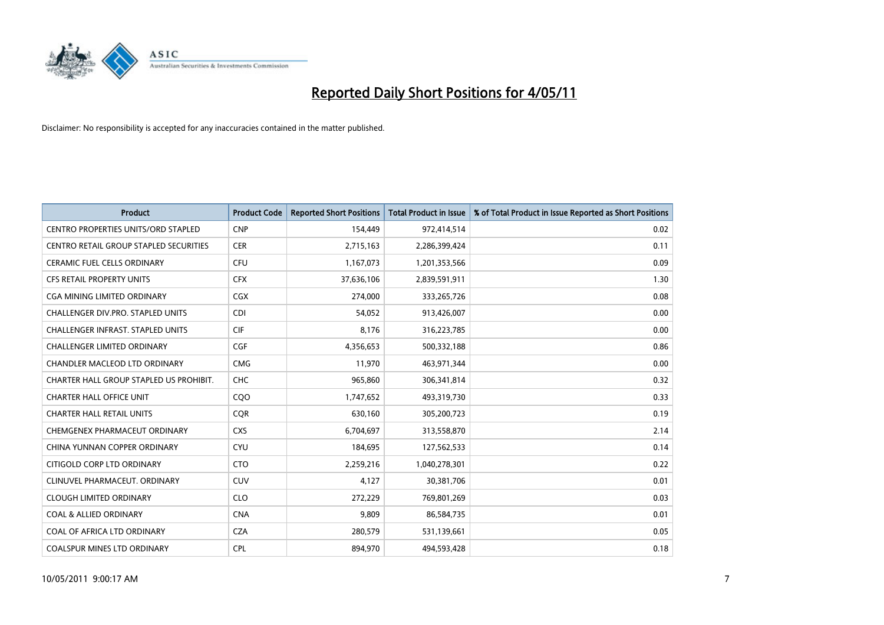

| <b>Product</b>                             | <b>Product Code</b> | <b>Reported Short Positions</b> | Total Product in Issue | % of Total Product in Issue Reported as Short Positions |
|--------------------------------------------|---------------------|---------------------------------|------------------------|---------------------------------------------------------|
| <b>CENTRO PROPERTIES UNITS/ORD STAPLED</b> | <b>CNP</b>          | 154,449                         | 972,414,514            | 0.02                                                    |
| CENTRO RETAIL GROUP STAPLED SECURITIES     | <b>CER</b>          | 2,715,163                       | 2,286,399,424          | 0.11                                                    |
| CERAMIC FUEL CELLS ORDINARY                | CFU                 | 1,167,073                       | 1,201,353,566          | 0.09                                                    |
| CFS RETAIL PROPERTY UNITS                  | <b>CFX</b>          | 37,636,106                      | 2,839,591,911          | 1.30                                                    |
| <b>CGA MINING LIMITED ORDINARY</b>         | <b>CGX</b>          | 274,000                         | 333,265,726            | 0.08                                                    |
| <b>CHALLENGER DIV.PRO. STAPLED UNITS</b>   | <b>CDI</b>          | 54,052                          | 913,426,007            | 0.00                                                    |
| CHALLENGER INFRAST. STAPLED UNITS          | <b>CIF</b>          | 8.176                           | 316,223,785            | 0.00                                                    |
| <b>CHALLENGER LIMITED ORDINARY</b>         | CGF                 | 4,356,653                       | 500,332,188            | 0.86                                                    |
| CHANDLER MACLEOD LTD ORDINARY              | <b>CMG</b>          | 11,970                          | 463,971,344            | 0.00                                                    |
| CHARTER HALL GROUP STAPLED US PROHIBIT.    | <b>CHC</b>          | 965,860                         | 306,341,814            | 0.32                                                    |
| <b>CHARTER HALL OFFICE UNIT</b>            | CQO                 | 1,747,652                       | 493,319,730            | 0.33                                                    |
| <b>CHARTER HALL RETAIL UNITS</b>           | <b>COR</b>          | 630,160                         | 305,200,723            | 0.19                                                    |
| CHEMGENEX PHARMACEUT ORDINARY              | <b>CXS</b>          | 6,704,697                       | 313,558,870            | 2.14                                                    |
| CHINA YUNNAN COPPER ORDINARY               | <b>CYU</b>          | 184,695                         | 127,562,533            | 0.14                                                    |
| CITIGOLD CORP LTD ORDINARY                 | <b>CTO</b>          | 2,259,216                       | 1,040,278,301          | 0.22                                                    |
| CLINUVEL PHARMACEUT. ORDINARY              | <b>CUV</b>          | 4,127                           | 30,381,706             | 0.01                                                    |
| <b>CLOUGH LIMITED ORDINARY</b>             | <b>CLO</b>          | 272,229                         | 769,801,269            | 0.03                                                    |
| <b>COAL &amp; ALLIED ORDINARY</b>          | <b>CNA</b>          | 9,809                           | 86,584,735             | 0.01                                                    |
| COAL OF AFRICA LTD ORDINARY                | <b>CZA</b>          | 280,579                         | 531,139,661            | 0.05                                                    |
| <b>COALSPUR MINES LTD ORDINARY</b>         | <b>CPL</b>          | 894.970                         | 494.593.428            | 0.18                                                    |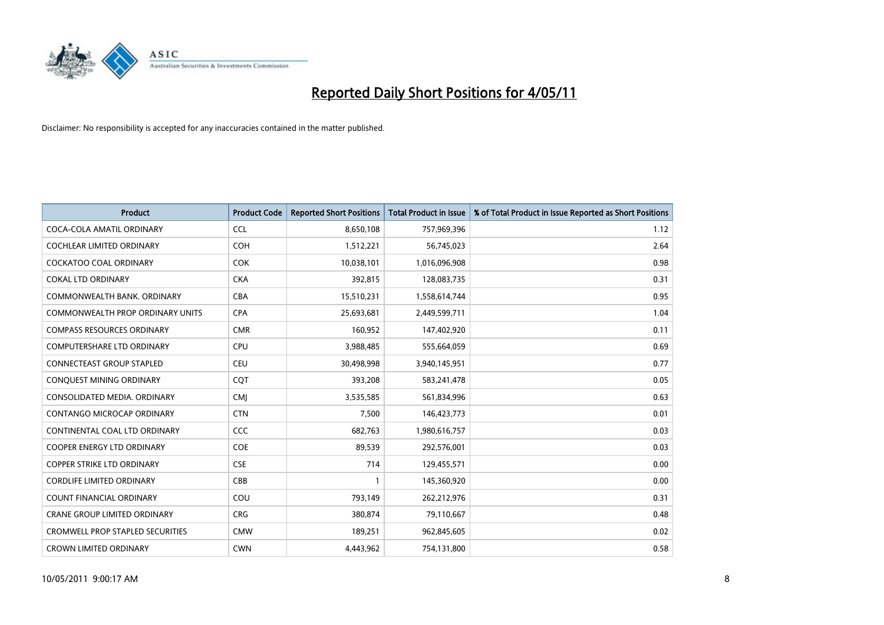

| <b>Product</b>                          | <b>Product Code</b> | <b>Reported Short Positions</b> | Total Product in Issue | % of Total Product in Issue Reported as Short Positions |
|-----------------------------------------|---------------------|---------------------------------|------------------------|---------------------------------------------------------|
| COCA-COLA AMATIL ORDINARY               | <b>CCL</b>          | 8,650,108                       | 757,969,396            | 1.12                                                    |
| COCHLEAR LIMITED ORDINARY               | <b>COH</b>          | 1,512,221                       | 56,745,023             | 2.64                                                    |
| <b>COCKATOO COAL ORDINARY</b>           | <b>COK</b>          | 10,038,101                      | 1,016,096,908          | 0.98                                                    |
| <b>COKAL LTD ORDINARY</b>               | <b>CKA</b>          | 392,815                         | 128,083,735            | 0.31                                                    |
| COMMONWEALTH BANK, ORDINARY             | <b>CBA</b>          | 15,510,231                      | 1,558,614,744          | 0.95                                                    |
| COMMONWEALTH PROP ORDINARY UNITS        | <b>CPA</b>          | 25,693,681                      | 2,449,599,711          | 1.04                                                    |
| <b>COMPASS RESOURCES ORDINARY</b>       | <b>CMR</b>          | 160,952                         | 147,402,920            | 0.11                                                    |
| <b>COMPUTERSHARE LTD ORDINARY</b>       | CPU                 | 3,988,485                       | 555,664,059            | 0.69                                                    |
| CONNECTEAST GROUP STAPLED               | CEU                 | 30,498,998                      | 3,940,145,951          | 0.77                                                    |
| CONQUEST MINING ORDINARY                | <b>COT</b>          | 393,208                         | 583,241,478            | 0.05                                                    |
| CONSOLIDATED MEDIA, ORDINARY            | CMJ                 | 3,535,585                       | 561,834,996            | 0.63                                                    |
| CONTANGO MICROCAP ORDINARY              | <b>CTN</b>          | 7,500                           | 146,423,773            | 0.01                                                    |
| CONTINENTAL COAL LTD ORDINARY           | CCC                 | 682,763                         | 1,980,616,757          | 0.03                                                    |
| COOPER ENERGY LTD ORDINARY              | <b>COE</b>          | 89,539                          | 292,576,001            | 0.03                                                    |
| <b>COPPER STRIKE LTD ORDINARY</b>       | <b>CSE</b>          | 714                             | 129,455,571            | 0.00                                                    |
| <b>CORDLIFE LIMITED ORDINARY</b>        | CBB                 |                                 | 145,360,920            | 0.00                                                    |
| <b>COUNT FINANCIAL ORDINARY</b>         | COU                 | 793,149                         | 262,212,976            | 0.31                                                    |
| CRANE GROUP LIMITED ORDINARY            | <b>CRG</b>          | 380,874                         | 79,110,667             | 0.48                                                    |
| <b>CROMWELL PROP STAPLED SECURITIES</b> | <b>CMW</b>          | 189,251                         | 962,845,605            | 0.02                                                    |
| <b>CROWN LIMITED ORDINARY</b>           | <b>CWN</b>          | 4.443.962                       | 754,131,800            | 0.58                                                    |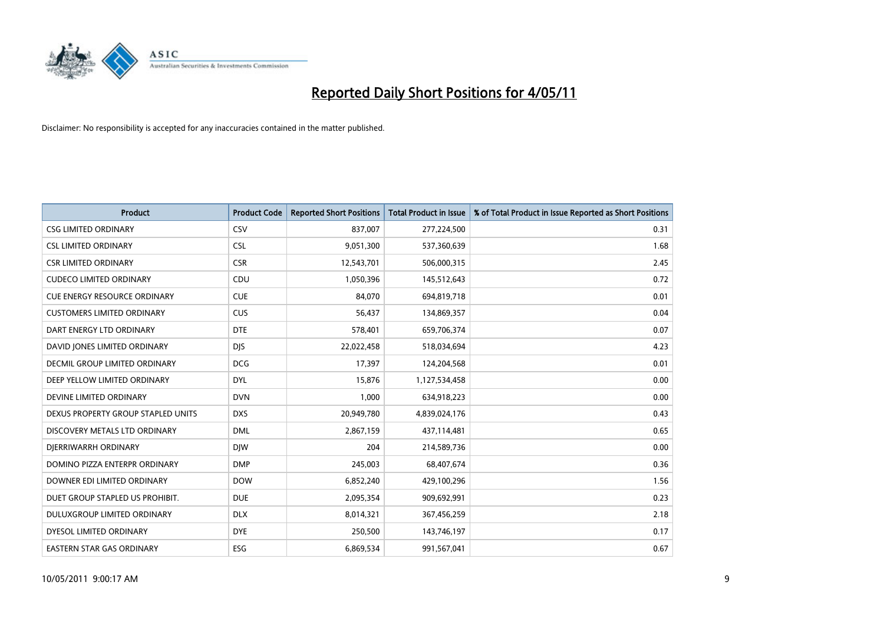

| <b>Product</b>                       | <b>Product Code</b> | <b>Reported Short Positions</b> | Total Product in Issue | % of Total Product in Issue Reported as Short Positions |
|--------------------------------------|---------------------|---------------------------------|------------------------|---------------------------------------------------------|
| <b>CSG LIMITED ORDINARY</b>          | CSV                 | 837,007                         | 277,224,500            | 0.31                                                    |
| <b>CSL LIMITED ORDINARY</b>          | <b>CSL</b>          | 9,051,300                       | 537,360,639            | 1.68                                                    |
| <b>CSR LIMITED ORDINARY</b>          | <b>CSR</b>          | 12,543,701                      | 506,000,315            | 2.45                                                    |
| <b>CUDECO LIMITED ORDINARY</b>       | CDU                 | 1,050,396                       | 145,512,643            | 0.72                                                    |
| <b>CUE ENERGY RESOURCE ORDINARY</b>  | <b>CUE</b>          | 84.070                          | 694,819,718            | 0.01                                                    |
| <b>CUSTOMERS LIMITED ORDINARY</b>    | CUS                 | 56,437                          | 134,869,357            | 0.04                                                    |
| DART ENERGY LTD ORDINARY             | <b>DTE</b>          | 578,401                         | 659,706,374            | 0.07                                                    |
| DAVID JONES LIMITED ORDINARY         | <b>DJS</b>          | 22,022,458                      | 518,034,694            | 4.23                                                    |
| <b>DECMIL GROUP LIMITED ORDINARY</b> | <b>DCG</b>          | 17,397                          | 124,204,568            | 0.01                                                    |
| DEEP YELLOW LIMITED ORDINARY         | <b>DYL</b>          | 15.876                          | 1,127,534,458          | 0.00                                                    |
| DEVINE LIMITED ORDINARY              | <b>DVN</b>          | 1.000                           | 634,918,223            | 0.00                                                    |
| DEXUS PROPERTY GROUP STAPLED UNITS   | <b>DXS</b>          | 20,949,780                      | 4,839,024,176          | 0.43                                                    |
| DISCOVERY METALS LTD ORDINARY        | <b>DML</b>          | 2,867,159                       | 437,114,481            | 0.65                                                    |
| DIERRIWARRH ORDINARY                 | <b>DIW</b>          | 204                             | 214,589,736            | 0.00                                                    |
| DOMINO PIZZA ENTERPR ORDINARY        | <b>DMP</b>          | 245,003                         | 68,407,674             | 0.36                                                    |
| DOWNER EDI LIMITED ORDINARY          | <b>DOW</b>          | 6,852,240                       | 429,100,296            | 1.56                                                    |
| DUET GROUP STAPLED US PROHIBIT.      | <b>DUE</b>          | 2,095,354                       | 909,692,991            | 0.23                                                    |
| DULUXGROUP LIMITED ORDINARY          | <b>DLX</b>          | 8,014,321                       | 367,456,259            | 2.18                                                    |
| DYESOL LIMITED ORDINARY              | <b>DYE</b>          | 250,500                         | 143,746,197            | 0.17                                                    |
| EASTERN STAR GAS ORDINARY            | <b>ESG</b>          | 6,869,534                       | 991,567,041            | 0.67                                                    |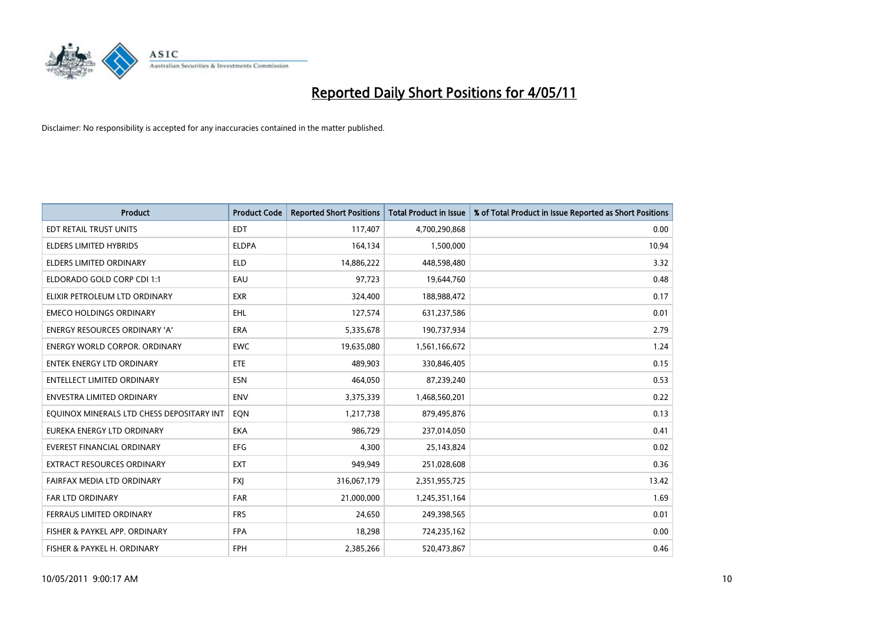

| <b>Product</b>                            | <b>Product Code</b> | <b>Reported Short Positions</b> | Total Product in Issue | % of Total Product in Issue Reported as Short Positions |
|-------------------------------------------|---------------------|---------------------------------|------------------------|---------------------------------------------------------|
| <b>EDT RETAIL TRUST UNITS</b>             | <b>EDT</b>          | 117,407                         | 4,700,290,868          | 0.00                                                    |
| ELDERS LIMITED HYBRIDS                    | <b>ELDPA</b>        | 164,134                         | 1,500,000              | 10.94                                                   |
| <b>ELDERS LIMITED ORDINARY</b>            | <b>ELD</b>          | 14,886,222                      | 448,598,480            | 3.32                                                    |
| ELDORADO GOLD CORP CDI 1:1                | EAU                 | 97,723                          | 19,644,760             | 0.48                                                    |
| ELIXIR PETROLEUM LTD ORDINARY             | <b>EXR</b>          | 324,400                         | 188,988,472            | 0.17                                                    |
| <b>EMECO HOLDINGS ORDINARY</b>            | <b>EHL</b>          | 127,574                         | 631,237,586            | 0.01                                                    |
| ENERGY RESOURCES ORDINARY 'A'             | <b>ERA</b>          | 5,335,678                       | 190,737,934            | 2.79                                                    |
| ENERGY WORLD CORPOR. ORDINARY             | <b>EWC</b>          | 19,635,080                      | 1,561,166,672          | 1.24                                                    |
| <b>ENTEK ENERGY LTD ORDINARY</b>          | ETE                 | 489.903                         | 330,846,405            | 0.15                                                    |
| <b>ENTELLECT LIMITED ORDINARY</b>         | <b>ESN</b>          | 464,050                         | 87,239,240             | 0.53                                                    |
| ENVESTRA LIMITED ORDINARY                 | <b>ENV</b>          | 3,375,339                       | 1,468,560,201          | 0.22                                                    |
| EQUINOX MINERALS LTD CHESS DEPOSITARY INT | EQN                 | 1,217,738                       | 879,495,876            | 0.13                                                    |
| EUREKA ENERGY LTD ORDINARY                | <b>EKA</b>          | 986,729                         | 237,014,050            | 0.41                                                    |
| EVEREST FINANCIAL ORDINARY                | EFG                 | 4,300                           | 25,143,824             | 0.02                                                    |
| <b>EXTRACT RESOURCES ORDINARY</b>         | <b>EXT</b>          | 949,949                         | 251,028,608            | 0.36                                                    |
| FAIRFAX MEDIA LTD ORDINARY                | <b>FXI</b>          | 316,067,179                     | 2,351,955,725          | 13.42                                                   |
| <b>FAR LTD ORDINARY</b>                   | <b>FAR</b>          | 21,000,000                      | 1,245,351,164          | 1.69                                                    |
| FERRAUS LIMITED ORDINARY                  | <b>FRS</b>          | 24,650                          | 249,398,565            | 0.01                                                    |
| FISHER & PAYKEL APP. ORDINARY             | <b>FPA</b>          | 18,298                          | 724,235,162            | 0.00                                                    |
| FISHER & PAYKEL H. ORDINARY               | <b>FPH</b>          | 2,385,266                       | 520,473,867            | 0.46                                                    |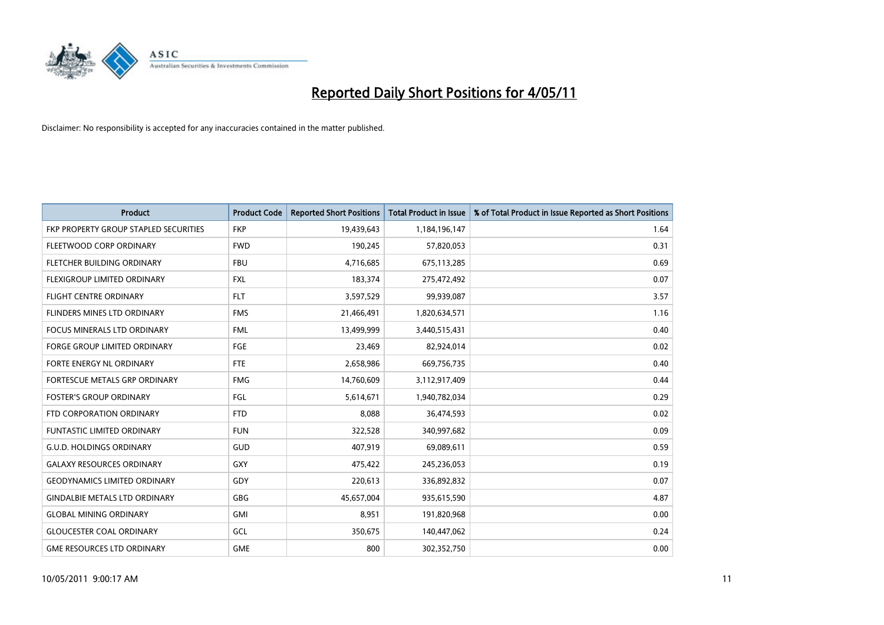

| <b>Product</b>                        | <b>Product Code</b> | <b>Reported Short Positions</b> | <b>Total Product in Issue</b> | % of Total Product in Issue Reported as Short Positions |
|---------------------------------------|---------------------|---------------------------------|-------------------------------|---------------------------------------------------------|
| FKP PROPERTY GROUP STAPLED SECURITIES | <b>FKP</b>          | 19,439,643                      | 1,184,196,147                 | 1.64                                                    |
| FLEETWOOD CORP ORDINARY               | <b>FWD</b>          | 190,245                         | 57,820,053                    | 0.31                                                    |
| FLETCHER BUILDING ORDINARY            | <b>FBU</b>          | 4,716,685                       | 675,113,285                   | 0.69                                                    |
| FLEXIGROUP LIMITED ORDINARY           | <b>FXL</b>          | 183,374                         | 275,472,492                   | 0.07                                                    |
| <b>FLIGHT CENTRE ORDINARY</b>         | <b>FLT</b>          | 3,597,529                       | 99,939,087                    | 3.57                                                    |
| <b>FLINDERS MINES LTD ORDINARY</b>    | <b>FMS</b>          | 21,466,491                      | 1,820,634,571                 | 1.16                                                    |
| <b>FOCUS MINERALS LTD ORDINARY</b>    | <b>FML</b>          | 13,499,999                      | 3,440,515,431                 | 0.40                                                    |
| <b>FORGE GROUP LIMITED ORDINARY</b>   | FGE                 | 23,469                          | 82,924,014                    | 0.02                                                    |
| FORTE ENERGY NL ORDINARY              | <b>FTE</b>          | 2,658,986                       | 669,756,735                   | 0.40                                                    |
| FORTESCUE METALS GRP ORDINARY         | <b>FMG</b>          | 14,760,609                      | 3,112,917,409                 | 0.44                                                    |
| <b>FOSTER'S GROUP ORDINARY</b>        | FGL                 | 5,614,671                       | 1,940,782,034                 | 0.29                                                    |
| FTD CORPORATION ORDINARY              | <b>FTD</b>          | 8,088                           | 36,474,593                    | 0.02                                                    |
| <b>FUNTASTIC LIMITED ORDINARY</b>     | <b>FUN</b>          | 322,528                         | 340,997,682                   | 0.09                                                    |
| <b>G.U.D. HOLDINGS ORDINARY</b>       | <b>GUD</b>          | 407,919                         | 69,089,611                    | 0.59                                                    |
| <b>GALAXY RESOURCES ORDINARY</b>      | <b>GXY</b>          | 475,422                         | 245,236,053                   | 0.19                                                    |
| <b>GEODYNAMICS LIMITED ORDINARY</b>   | GDY                 | 220,613                         | 336,892,832                   | 0.07                                                    |
| <b>GINDALBIE METALS LTD ORDINARY</b>  | <b>GBG</b>          | 45,657,004                      | 935,615,590                   | 4.87                                                    |
| <b>GLOBAL MINING ORDINARY</b>         | <b>GMI</b>          | 8,951                           | 191,820,968                   | 0.00                                                    |
| <b>GLOUCESTER COAL ORDINARY</b>       | GCL                 | 350,675                         | 140,447,062                   | 0.24                                                    |
| <b>GME RESOURCES LTD ORDINARY</b>     | <b>GME</b>          | 800                             | 302,352,750                   | 0.00                                                    |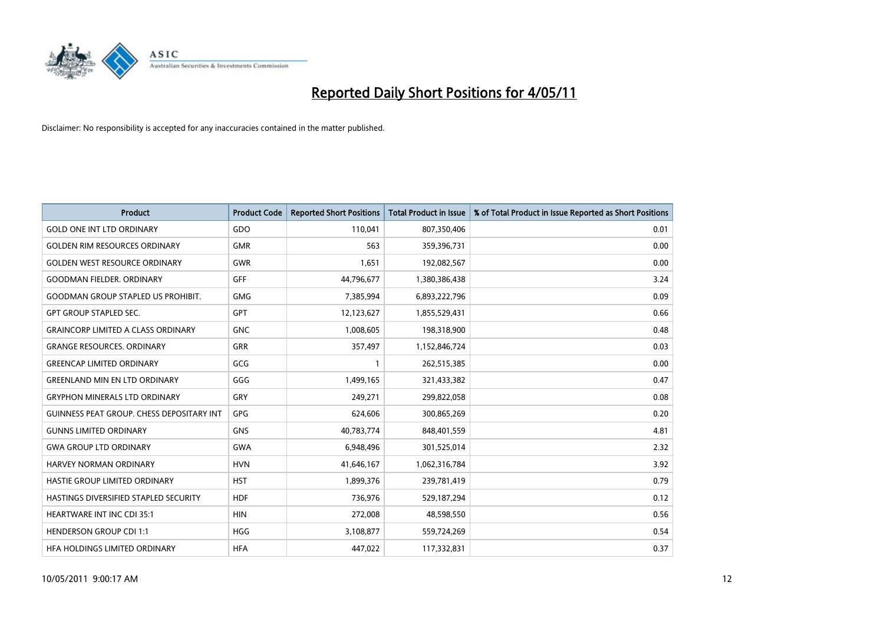

| <b>Product</b>                                   | <b>Product Code</b> | <b>Reported Short Positions</b> | Total Product in Issue | % of Total Product in Issue Reported as Short Positions |
|--------------------------------------------------|---------------------|---------------------------------|------------------------|---------------------------------------------------------|
| <b>GOLD ONE INT LTD ORDINARY</b>                 | GDO                 | 110,041                         | 807,350,406            | 0.01                                                    |
| <b>GOLDEN RIM RESOURCES ORDINARY</b>             | <b>GMR</b>          | 563                             | 359,396,731            | 0.00                                                    |
| <b>GOLDEN WEST RESOURCE ORDINARY</b>             | <b>GWR</b>          | 1,651                           | 192,082,567            | 0.00                                                    |
| <b>GOODMAN FIELDER. ORDINARY</b>                 | <b>GFF</b>          | 44,796,677                      | 1,380,386,438          | 3.24                                                    |
| <b>GOODMAN GROUP STAPLED US PROHIBIT.</b>        | <b>GMG</b>          | 7,385,994                       | 6,893,222,796          | 0.09                                                    |
| <b>GPT GROUP STAPLED SEC.</b>                    | <b>GPT</b>          | 12,123,627                      | 1,855,529,431          | 0.66                                                    |
| <b>GRAINCORP LIMITED A CLASS ORDINARY</b>        | <b>GNC</b>          | 1,008,605                       | 198,318,900            | 0.48                                                    |
| <b>GRANGE RESOURCES, ORDINARY</b>                | <b>GRR</b>          | 357,497                         | 1,152,846,724          | 0.03                                                    |
| <b>GREENCAP LIMITED ORDINARY</b>                 | GCG                 |                                 | 262,515,385            | 0.00                                                    |
| <b>GREENLAND MIN EN LTD ORDINARY</b>             | GGG                 | 1,499,165                       | 321,433,382            | 0.47                                                    |
| <b>GRYPHON MINERALS LTD ORDINARY</b>             | GRY                 | 249,271                         | 299,822,058            | 0.08                                                    |
| <b>GUINNESS PEAT GROUP. CHESS DEPOSITARY INT</b> | <b>GPG</b>          | 624,606                         | 300,865,269            | 0.20                                                    |
| <b>GUNNS LIMITED ORDINARY</b>                    | <b>GNS</b>          | 40,783,774                      | 848,401,559            | 4.81                                                    |
| <b>GWA GROUP LTD ORDINARY</b>                    | <b>GWA</b>          | 6,948,496                       | 301,525,014            | 2.32                                                    |
| <b>HARVEY NORMAN ORDINARY</b>                    | <b>HVN</b>          | 41,646,167                      | 1,062,316,784          | 3.92                                                    |
| HASTIE GROUP LIMITED ORDINARY                    | <b>HST</b>          | 1,899,376                       | 239,781,419            | 0.79                                                    |
| HASTINGS DIVERSIFIED STAPLED SECURITY            | <b>HDF</b>          | 736,976                         | 529,187,294            | 0.12                                                    |
| HEARTWARE INT INC CDI 35:1                       | <b>HIN</b>          | 272,008                         | 48,598,550             | 0.56                                                    |
| <b>HENDERSON GROUP CDI 1:1</b>                   | <b>HGG</b>          | 3,108,877                       | 559,724,269            | 0.54                                                    |
| HEA HOLDINGS LIMITED ORDINARY                    | <b>HFA</b>          | 447.022                         | 117,332,831            | 0.37                                                    |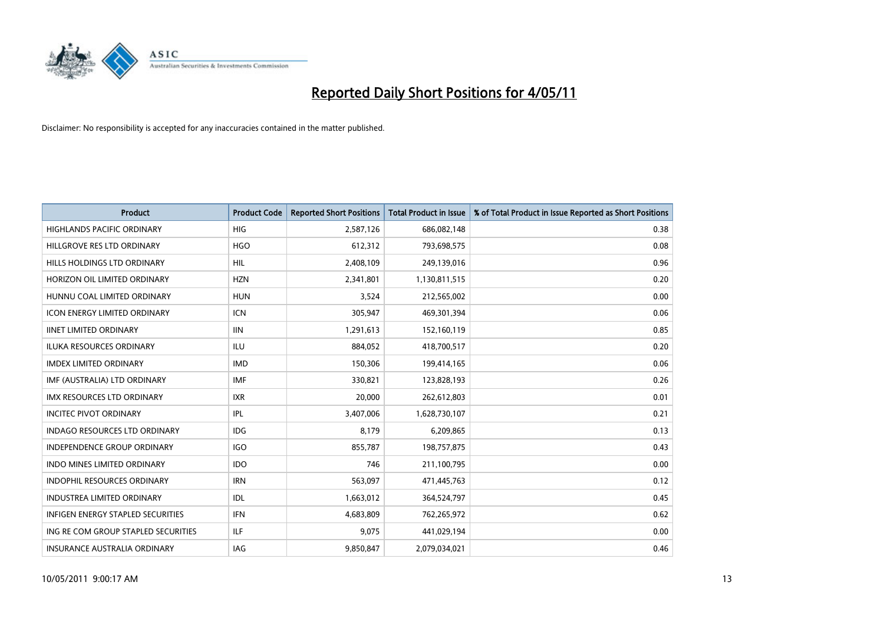

| <b>Product</b>                       | <b>Product Code</b> | <b>Reported Short Positions</b> | <b>Total Product in Issue</b> | % of Total Product in Issue Reported as Short Positions |
|--------------------------------------|---------------------|---------------------------------|-------------------------------|---------------------------------------------------------|
| <b>HIGHLANDS PACIFIC ORDINARY</b>    | HIG                 | 2,587,126                       | 686,082,148                   | 0.38                                                    |
| HILLGROVE RES LTD ORDINARY           | <b>HGO</b>          | 612,312                         | 793,698,575                   | 0.08                                                    |
| HILLS HOLDINGS LTD ORDINARY          | <b>HIL</b>          | 2,408,109                       | 249,139,016                   | 0.96                                                    |
| HORIZON OIL LIMITED ORDINARY         | <b>HZN</b>          | 2,341,801                       | 1,130,811,515                 | 0.20                                                    |
| HUNNU COAL LIMITED ORDINARY          | <b>HUN</b>          | 3,524                           | 212,565,002                   | 0.00                                                    |
| <b>ICON ENERGY LIMITED ORDINARY</b>  | <b>ICN</b>          | 305,947                         | 469,301,394                   | 0.06                                                    |
| <b>IINET LIMITED ORDINARY</b>        | <b>IIN</b>          | 1,291,613                       | 152,160,119                   | 0.85                                                    |
| <b>ILUKA RESOURCES ORDINARY</b>      | <b>ILU</b>          | 884,052                         | 418,700,517                   | 0.20                                                    |
| <b>IMDEX LIMITED ORDINARY</b>        | <b>IMD</b>          | 150,306                         | 199,414,165                   | 0.06                                                    |
| IMF (AUSTRALIA) LTD ORDINARY         | <b>IMF</b>          | 330,821                         | 123,828,193                   | 0.26                                                    |
| <b>IMX RESOURCES LTD ORDINARY</b>    | <b>IXR</b>          | 20,000                          | 262,612,803                   | 0.01                                                    |
| <b>INCITEC PIVOT ORDINARY</b>        | <b>IPL</b>          | 3,407,006                       | 1,628,730,107                 | 0.21                                                    |
| <b>INDAGO RESOURCES LTD ORDINARY</b> | IDG                 | 8.179                           | 6,209,865                     | 0.13                                                    |
| <b>INDEPENDENCE GROUP ORDINARY</b>   | <b>IGO</b>          | 855.787                         | 198,757,875                   | 0.43                                                    |
| <b>INDO MINES LIMITED ORDINARY</b>   | <b>IDO</b>          | 746                             | 211,100,795                   | 0.00                                                    |
| <b>INDOPHIL RESOURCES ORDINARY</b>   | <b>IRN</b>          | 563,097                         | 471,445,763                   | 0.12                                                    |
| <b>INDUSTREA LIMITED ORDINARY</b>    | <b>IDL</b>          | 1,663,012                       | 364,524,797                   | 0.45                                                    |
| INFIGEN ENERGY STAPLED SECURITIES    | <b>IFN</b>          | 4,683,809                       | 762,265,972                   | 0.62                                                    |
| ING RE COM GROUP STAPLED SECURITIES  | <b>ILF</b>          | 9.075                           | 441,029,194                   | 0.00                                                    |
| <b>INSURANCE AUSTRALIA ORDINARY</b>  | <b>IAG</b>          | 9,850,847                       | 2,079,034,021                 | 0.46                                                    |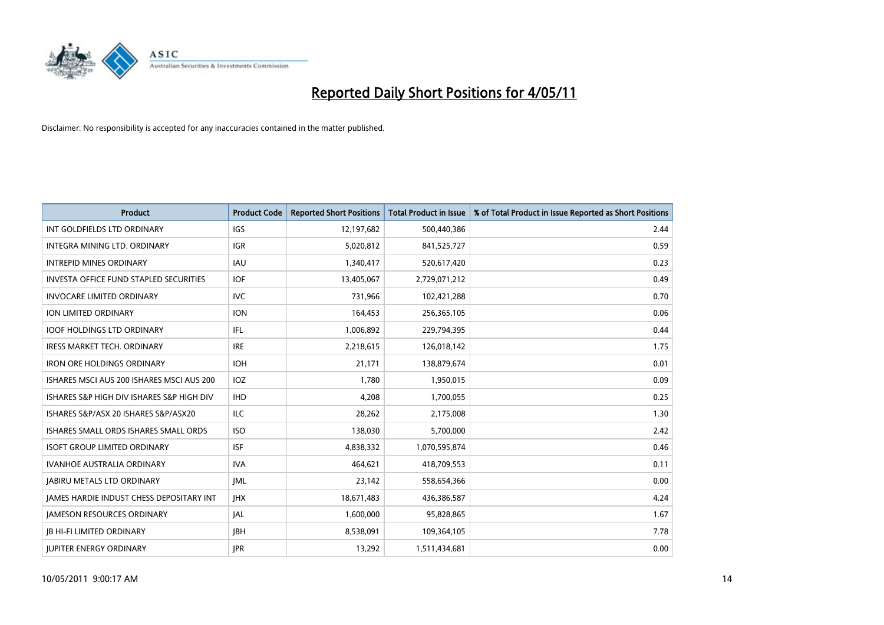

| <b>Product</b>                                  | <b>Product Code</b> | <b>Reported Short Positions</b> | <b>Total Product in Issue</b> | % of Total Product in Issue Reported as Short Positions |
|-------------------------------------------------|---------------------|---------------------------------|-------------------------------|---------------------------------------------------------|
| INT GOLDFIELDS LTD ORDINARY                     | <b>IGS</b>          | 12,197,682                      | 500,440,386                   | 2.44                                                    |
| INTEGRA MINING LTD, ORDINARY                    | <b>IGR</b>          | 5,020,812                       | 841,525,727                   | 0.59                                                    |
| <b>INTREPID MINES ORDINARY</b>                  | <b>IAU</b>          | 1,340,417                       | 520,617,420                   | 0.23                                                    |
| INVESTA OFFICE FUND STAPLED SECURITIES          | <b>IOF</b>          | 13,405,067                      | 2,729,071,212                 | 0.49                                                    |
| <b>INVOCARE LIMITED ORDINARY</b>                | <b>IVC</b>          | 731,966                         | 102,421,288                   | 0.70                                                    |
| <b>ION LIMITED ORDINARY</b>                     | <b>ION</b>          | 164,453                         | 256,365,105                   | 0.06                                                    |
| <b>IOOF HOLDINGS LTD ORDINARY</b>               | IFL                 | 1,006,892                       | 229,794,395                   | 0.44                                                    |
| <b>IRESS MARKET TECH. ORDINARY</b>              | <b>IRE</b>          | 2,218,615                       | 126,018,142                   | 1.75                                                    |
| <b>IRON ORE HOLDINGS ORDINARY</b>               | <b>IOH</b>          | 21,171                          | 138,879,674                   | 0.01                                                    |
| ISHARES MSCI AUS 200 ISHARES MSCI AUS 200       | <b>IOZ</b>          | 1.780                           | 1,950,015                     | 0.09                                                    |
| ISHARES S&P HIGH DIV ISHARES S&P HIGH DIV       | <b>IHD</b>          | 4,208                           | 1,700,055                     | 0.25                                                    |
| ISHARES S&P/ASX 20 ISHARES S&P/ASX20            | <b>ILC</b>          | 28,262                          | 2,175,008                     | 1.30                                                    |
| ISHARES SMALL ORDS ISHARES SMALL ORDS           | <b>ISO</b>          | 138,030                         | 5,700,000                     | 2.42                                                    |
| <b>ISOFT GROUP LIMITED ORDINARY</b>             | <b>ISF</b>          | 4,838,332                       | 1,070,595,874                 | 0.46                                                    |
| <b>IVANHOE AUSTRALIA ORDINARY</b>               | <b>IVA</b>          | 464,621                         | 418,709,553                   | 0.11                                                    |
| <b>JABIRU METALS LTD ORDINARY</b>               | <b>JML</b>          | 23,142                          | 558,654,366                   | 0.00                                                    |
| <b>JAMES HARDIE INDUST CHESS DEPOSITARY INT</b> | <b>IHX</b>          | 18,671,483                      | 436,386,587                   | 4.24                                                    |
| <b>JAMESON RESOURCES ORDINARY</b>               | <b>JAL</b>          | 1,600,000                       | 95,828,865                    | 1.67                                                    |
| <b>IB HI-FI LIMITED ORDINARY</b>                | <b>IBH</b>          | 8,538,091                       | 109,364,105                   | 7.78                                                    |
| <b>IUPITER ENERGY ORDINARY</b>                  | <b>IPR</b>          | 13,292                          | 1,511,434,681                 | 0.00                                                    |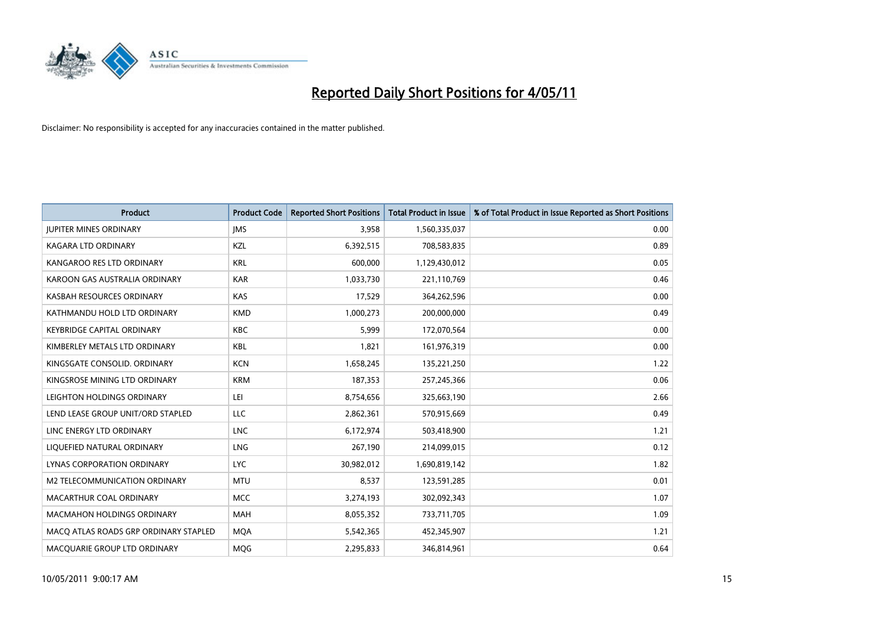

| <b>Product</b>                        | <b>Product Code</b> | <b>Reported Short Positions</b> | Total Product in Issue | % of Total Product in Issue Reported as Short Positions |
|---------------------------------------|---------------------|---------------------------------|------------------------|---------------------------------------------------------|
| <b>JUPITER MINES ORDINARY</b>         | <b>IMS</b>          | 3,958                           | 1,560,335,037          | 0.00                                                    |
| KAGARA LTD ORDINARY                   | KZL                 | 6,392,515                       | 708,583,835            | 0.89                                                    |
| KANGAROO RES LTD ORDINARY             | <b>KRL</b>          | 600,000                         | 1,129,430,012          | 0.05                                                    |
| KAROON GAS AUSTRALIA ORDINARY         | <b>KAR</b>          | 1,033,730                       | 221,110,769            | 0.46                                                    |
| KASBAH RESOURCES ORDINARY             | <b>KAS</b>          | 17,529                          | 364,262,596            | 0.00                                                    |
| KATHMANDU HOLD LTD ORDINARY           | <b>KMD</b>          | 1,000,273                       | 200,000,000            | 0.49                                                    |
| <b>KEYBRIDGE CAPITAL ORDINARY</b>     | <b>KBC</b>          | 5.999                           | 172,070,564            | 0.00                                                    |
| KIMBERLEY METALS LTD ORDINARY         | <b>KBL</b>          | 1,821                           | 161,976,319            | 0.00                                                    |
| KINGSGATE CONSOLID. ORDINARY          | <b>KCN</b>          | 1,658,245                       | 135,221,250            | 1.22                                                    |
| KINGSROSE MINING LTD ORDINARY         | <b>KRM</b>          | 187,353                         | 257,245,366            | 0.06                                                    |
| LEIGHTON HOLDINGS ORDINARY            | LEI                 | 8,754,656                       | 325,663,190            | 2.66                                                    |
| LEND LEASE GROUP UNIT/ORD STAPLED     | LLC                 | 2,862,361                       | 570,915,669            | 0.49                                                    |
| LINC ENERGY LTD ORDINARY              | <b>LNC</b>          | 6,172,974                       | 503,418,900            | 1.21                                                    |
| LIQUEFIED NATURAL ORDINARY            | LNG                 | 267,190                         | 214,099,015            | 0.12                                                    |
| LYNAS CORPORATION ORDINARY            | <b>LYC</b>          | 30,982,012                      | 1,690,819,142          | 1.82                                                    |
| M2 TELECOMMUNICATION ORDINARY         | <b>MTU</b>          | 8,537                           | 123,591,285            | 0.01                                                    |
| MACARTHUR COAL ORDINARY               | <b>MCC</b>          | 3,274,193                       | 302,092,343            | 1.07                                                    |
| MACMAHON HOLDINGS ORDINARY            | <b>MAH</b>          | 8,055,352                       | 733,711,705            | 1.09                                                    |
| MACO ATLAS ROADS GRP ORDINARY STAPLED | <b>MOA</b>          | 5,542,365                       | 452,345,907            | 1.21                                                    |
| MACQUARIE GROUP LTD ORDINARY          | <b>MOG</b>          | 2,295,833                       | 346,814,961            | 0.64                                                    |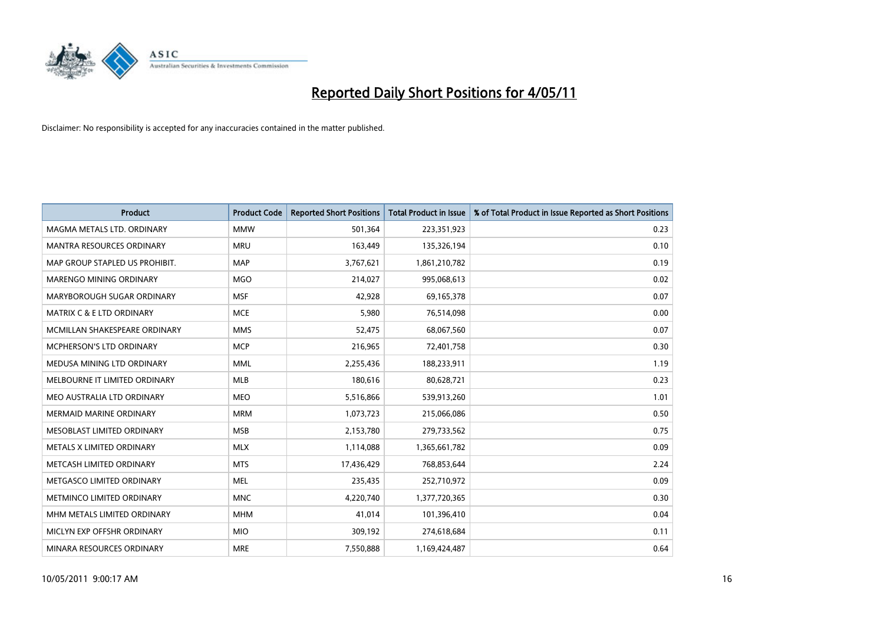

| <b>Product</b>                       | <b>Product Code</b> | <b>Reported Short Positions</b> | Total Product in Issue | % of Total Product in Issue Reported as Short Positions |
|--------------------------------------|---------------------|---------------------------------|------------------------|---------------------------------------------------------|
| MAGMA METALS LTD. ORDINARY           | <b>MMW</b>          | 501,364                         | 223,351,923            | 0.23                                                    |
| MANTRA RESOURCES ORDINARY            | <b>MRU</b>          | 163,449                         | 135,326,194            | 0.10                                                    |
| MAP GROUP STAPLED US PROHIBIT.       | <b>MAP</b>          | 3,767,621                       | 1,861,210,782          | 0.19                                                    |
| MARENGO MINING ORDINARY              | <b>MGO</b>          | 214,027                         | 995,068,613            | 0.02                                                    |
| MARYBOROUGH SUGAR ORDINARY           | <b>MSF</b>          | 42,928                          | 69,165,378             | 0.07                                                    |
| <b>MATRIX C &amp; E LTD ORDINARY</b> | <b>MCE</b>          | 5,980                           | 76,514,098             | 0.00                                                    |
| MCMILLAN SHAKESPEARE ORDINARY        | <b>MMS</b>          | 52,475                          | 68,067,560             | 0.07                                                    |
| MCPHERSON'S LTD ORDINARY             | <b>MCP</b>          | 216,965                         | 72,401,758             | 0.30                                                    |
| MEDUSA MINING LTD ORDINARY           | <b>MML</b>          | 2,255,436                       | 188,233,911            | 1.19                                                    |
| MELBOURNE IT LIMITED ORDINARY        | <b>MLB</b>          | 180,616                         | 80,628,721             | 0.23                                                    |
| MEO AUSTRALIA LTD ORDINARY           | <b>MEO</b>          | 5,516,866                       | 539,913,260            | 1.01                                                    |
| <b>MERMAID MARINE ORDINARY</b>       | <b>MRM</b>          | 1,073,723                       | 215,066,086            | 0.50                                                    |
| MESOBLAST LIMITED ORDINARY           | <b>MSB</b>          | 2,153,780                       | 279,733,562            | 0.75                                                    |
| METALS X LIMITED ORDINARY            | <b>MLX</b>          | 1,114,088                       | 1,365,661,782          | 0.09                                                    |
| METCASH LIMITED ORDINARY             | <b>MTS</b>          | 17,436,429                      | 768,853,644            | 2.24                                                    |
| METGASCO LIMITED ORDINARY            | <b>MEL</b>          | 235,435                         | 252,710,972            | 0.09                                                    |
| METMINCO LIMITED ORDINARY            | <b>MNC</b>          | 4,220,740                       | 1,377,720,365          | 0.30                                                    |
| MHM METALS LIMITED ORDINARY          | <b>MHM</b>          | 41,014                          | 101,396,410            | 0.04                                                    |
| MICLYN EXP OFFSHR ORDINARY           | <b>MIO</b>          | 309,192                         | 274,618,684            | 0.11                                                    |
| MINARA RESOURCES ORDINARY            | <b>MRE</b>          | 7,550,888                       | 1,169,424,487          | 0.64                                                    |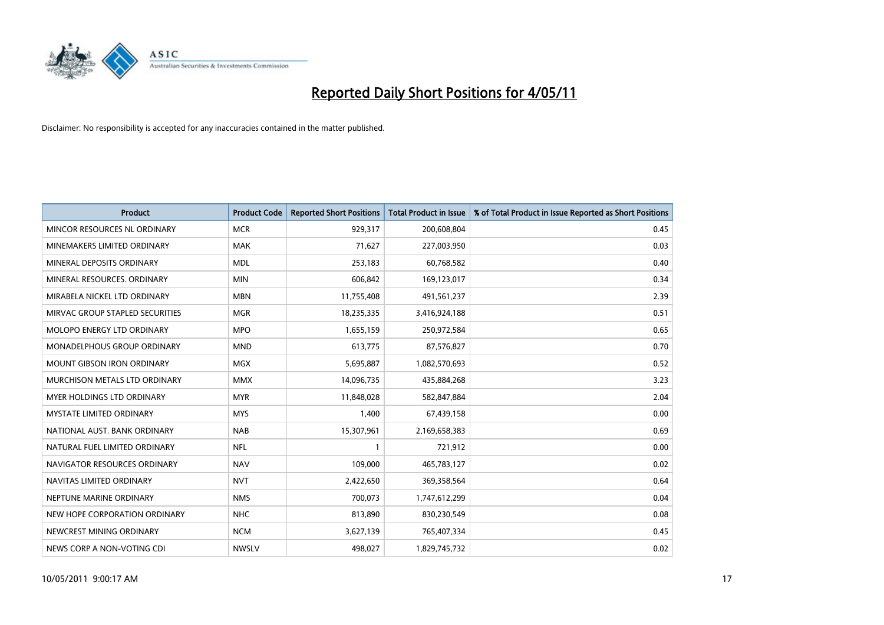

| <b>Product</b>                     | <b>Product Code</b> | <b>Reported Short Positions</b> | Total Product in Issue | % of Total Product in Issue Reported as Short Positions |
|------------------------------------|---------------------|---------------------------------|------------------------|---------------------------------------------------------|
| MINCOR RESOURCES NL ORDINARY       | <b>MCR</b>          | 929,317                         | 200,608,804            | 0.45                                                    |
| MINEMAKERS LIMITED ORDINARY        | <b>MAK</b>          | 71,627                          | 227,003,950            | 0.03                                                    |
| MINERAL DEPOSITS ORDINARY          | <b>MDL</b>          | 253,183                         | 60,768,582             | 0.40                                                    |
| MINERAL RESOURCES. ORDINARY        | <b>MIN</b>          | 606,842                         | 169,123,017            | 0.34                                                    |
| MIRABELA NICKEL LTD ORDINARY       | <b>MBN</b>          | 11,755,408                      | 491,561,237            | 2.39                                                    |
| MIRVAC GROUP STAPLED SECURITIES    | <b>MGR</b>          | 18,235,335                      | 3,416,924,188          | 0.51                                                    |
| MOLOPO ENERGY LTD ORDINARY         | <b>MPO</b>          | 1,655,159                       | 250,972,584            | 0.65                                                    |
| <b>MONADELPHOUS GROUP ORDINARY</b> | <b>MND</b>          | 613,775                         | 87,576,827             | 0.70                                                    |
| MOUNT GIBSON IRON ORDINARY         | <b>MGX</b>          | 5,695,887                       | 1,082,570,693          | 0.52                                                    |
| MURCHISON METALS LTD ORDINARY      | <b>MMX</b>          | 14,096,735                      | 435,884,268            | 3.23                                                    |
| <b>MYER HOLDINGS LTD ORDINARY</b>  | <b>MYR</b>          | 11,848,028                      | 582,847,884            | 2.04                                                    |
| <b>MYSTATE LIMITED ORDINARY</b>    | <b>MYS</b>          | 1,400                           | 67,439,158             | 0.00                                                    |
| NATIONAL AUST. BANK ORDINARY       | <b>NAB</b>          | 15,307,961                      | 2,169,658,383          | 0.69                                                    |
| NATURAL FUEL LIMITED ORDINARY      | <b>NFL</b>          |                                 | 721,912                | 0.00                                                    |
| NAVIGATOR RESOURCES ORDINARY       | <b>NAV</b>          | 109,000                         | 465,783,127            | 0.02                                                    |
| NAVITAS LIMITED ORDINARY           | <b>NVT</b>          | 2,422,650                       | 369,358,564            | 0.64                                                    |
| NEPTUNE MARINE ORDINARY            | <b>NMS</b>          | 700,073                         | 1,747,612,299          | 0.04                                                    |
| NEW HOPE CORPORATION ORDINARY      | <b>NHC</b>          | 813,890                         | 830,230,549            | 0.08                                                    |
| NEWCREST MINING ORDINARY           | <b>NCM</b>          | 3,627,139                       | 765,407,334            | 0.45                                                    |
| NEWS CORP A NON-VOTING CDI         | <b>NWSLV</b>        | 498.027                         | 1,829,745,732          | 0.02                                                    |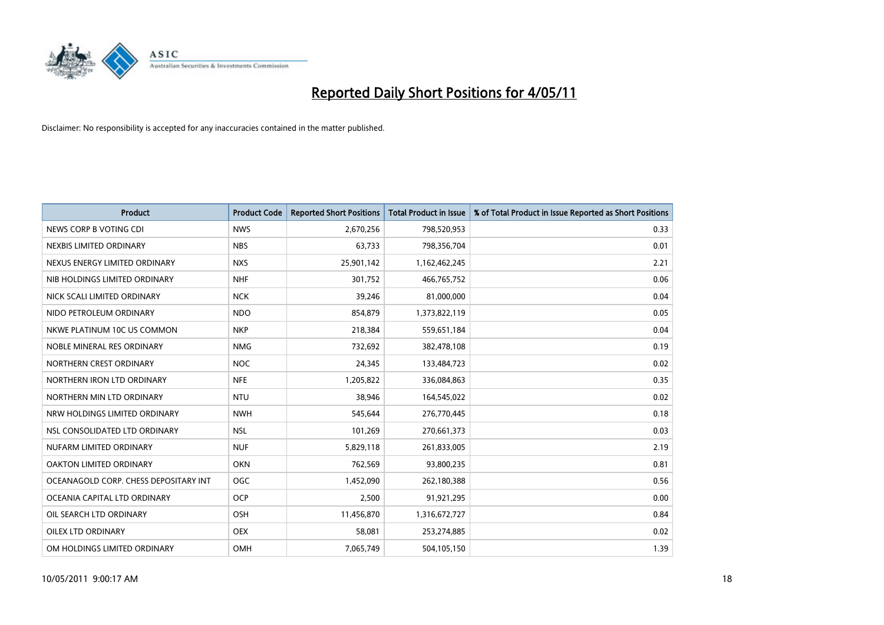

| <b>Product</b>                        | <b>Product Code</b> | <b>Reported Short Positions</b> | Total Product in Issue | % of Total Product in Issue Reported as Short Positions |
|---------------------------------------|---------------------|---------------------------------|------------------------|---------------------------------------------------------|
| NEWS CORP B VOTING CDI                | <b>NWS</b>          | 2,670,256                       | 798,520,953            | 0.33                                                    |
| NEXBIS LIMITED ORDINARY               | <b>NBS</b>          | 63,733                          | 798,356,704            | 0.01                                                    |
| NEXUS ENERGY LIMITED ORDINARY         | <b>NXS</b>          | 25,901,142                      | 1,162,462,245          | 2.21                                                    |
| NIB HOLDINGS LIMITED ORDINARY         | <b>NHF</b>          | 301,752                         | 466,765,752            | 0.06                                                    |
| NICK SCALI LIMITED ORDINARY           | <b>NCK</b>          | 39,246                          | 81,000,000             | 0.04                                                    |
| NIDO PETROLEUM ORDINARY               | <b>NDO</b>          | 854,879                         | 1,373,822,119          | 0.05                                                    |
| NKWE PLATINUM 10C US COMMON           | <b>NKP</b>          | 218,384                         | 559,651,184            | 0.04                                                    |
| NOBLE MINERAL RES ORDINARY            | <b>NMG</b>          | 732,692                         | 382,478,108            | 0.19                                                    |
| NORTHERN CREST ORDINARY               | <b>NOC</b>          | 24,345                          | 133,484,723            | 0.02                                                    |
| NORTHERN IRON LTD ORDINARY            | <b>NFE</b>          | 1,205,822                       | 336,084,863            | 0.35                                                    |
| NORTHERN MIN LTD ORDINARY             | <b>NTU</b>          | 38,946                          | 164,545,022            | 0.02                                                    |
| NRW HOLDINGS LIMITED ORDINARY         | <b>NWH</b>          | 545,644                         | 276,770,445            | 0.18                                                    |
| NSL CONSOLIDATED LTD ORDINARY         | <b>NSL</b>          | 101,269                         | 270,661,373            | 0.03                                                    |
| NUFARM LIMITED ORDINARY               | <b>NUF</b>          | 5,829,118                       | 261,833,005            | 2.19                                                    |
| <b>OAKTON LIMITED ORDINARY</b>        | <b>OKN</b>          | 762,569                         | 93,800,235             | 0.81                                                    |
| OCEANAGOLD CORP. CHESS DEPOSITARY INT | <b>OGC</b>          | 1,452,090                       | 262,180,388            | 0.56                                                    |
| OCEANIA CAPITAL LTD ORDINARY          | <b>OCP</b>          | 2,500                           | 91,921,295             | 0.00                                                    |
| OIL SEARCH LTD ORDINARY               | <b>OSH</b>          | 11,456,870                      | 1,316,672,727          | 0.84                                                    |
| OILEX LTD ORDINARY                    | <b>OEX</b>          | 58,081                          | 253,274,885            | 0.02                                                    |
| OM HOLDINGS LIMITED ORDINARY          | <b>OMH</b>          | 7,065,749                       | 504,105,150            | 1.39                                                    |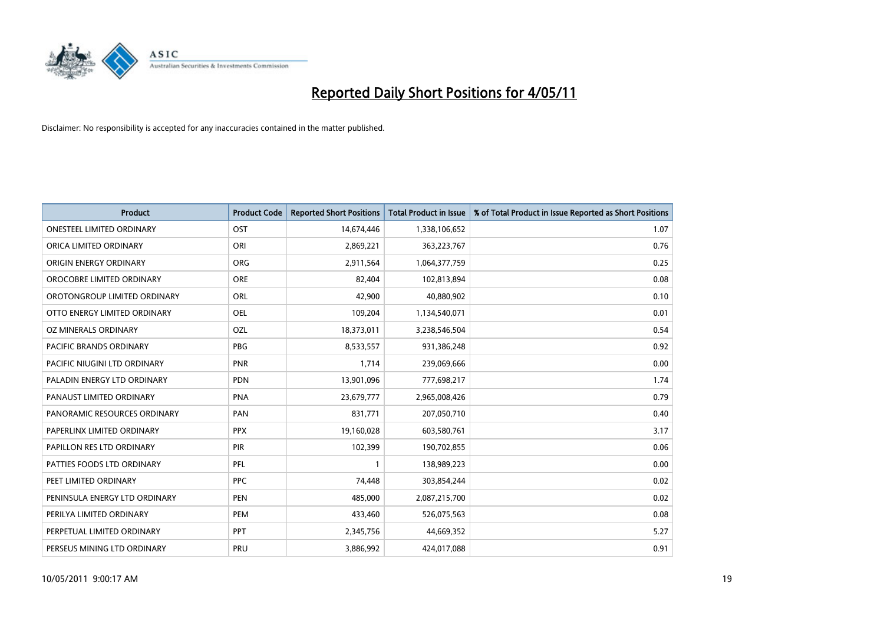

| <b>Product</b>                   | <b>Product Code</b> | <b>Reported Short Positions</b> | <b>Total Product in Issue</b> | % of Total Product in Issue Reported as Short Positions |
|----------------------------------|---------------------|---------------------------------|-------------------------------|---------------------------------------------------------|
| <b>ONESTEEL LIMITED ORDINARY</b> | OST                 | 14,674,446                      | 1,338,106,652                 | 1.07                                                    |
| ORICA LIMITED ORDINARY           | ORI                 | 2,869,221                       | 363,223,767                   | 0.76                                                    |
| ORIGIN ENERGY ORDINARY           | <b>ORG</b>          | 2,911,564                       | 1,064,377,759                 | 0.25                                                    |
| OROCOBRE LIMITED ORDINARY        | <b>ORE</b>          | 82,404                          | 102,813,894                   | 0.08                                                    |
| OROTONGROUP LIMITED ORDINARY     | ORL                 | 42,900                          | 40,880,902                    | 0.10                                                    |
| OTTO ENERGY LIMITED ORDINARY     | <b>OEL</b>          | 109,204                         | 1,134,540,071                 | 0.01                                                    |
| OZ MINERALS ORDINARY             | OZL                 | 18,373,011                      | 3,238,546,504                 | 0.54                                                    |
| <b>PACIFIC BRANDS ORDINARY</b>   | <b>PBG</b>          | 8,533,557                       | 931,386,248                   | 0.92                                                    |
| PACIFIC NIUGINI LTD ORDINARY     | PNR                 | 1,714                           | 239,069,666                   | 0.00                                                    |
| PALADIN ENERGY LTD ORDINARY      | <b>PDN</b>          | 13,901,096                      | 777,698,217                   | 1.74                                                    |
| PANAUST LIMITED ORDINARY         | <b>PNA</b>          | 23,679,777                      | 2,965,008,426                 | 0.79                                                    |
| PANORAMIC RESOURCES ORDINARY     | PAN                 | 831,771                         | 207,050,710                   | 0.40                                                    |
| PAPERLINX LIMITED ORDINARY       | <b>PPX</b>          | 19,160,028                      | 603,580,761                   | 3.17                                                    |
| PAPILLON RES LTD ORDINARY        | PIR                 | 102,399                         | 190,702,855                   | 0.06                                                    |
| PATTIES FOODS LTD ORDINARY       | PFL                 |                                 | 138,989,223                   | 0.00                                                    |
| PEET LIMITED ORDINARY            | <b>PPC</b>          | 74,448                          | 303,854,244                   | 0.02                                                    |
| PENINSULA ENERGY LTD ORDINARY    | <b>PEN</b>          | 485,000                         | 2,087,215,700                 | 0.02                                                    |
| PERILYA LIMITED ORDINARY         | PEM                 | 433,460                         | 526,075,563                   | 0.08                                                    |
| PERPETUAL LIMITED ORDINARY       | PPT                 | 2,345,756                       | 44,669,352                    | 5.27                                                    |
| PERSEUS MINING LTD ORDINARY      | PRU                 | 3,886,992                       | 424,017,088                   | 0.91                                                    |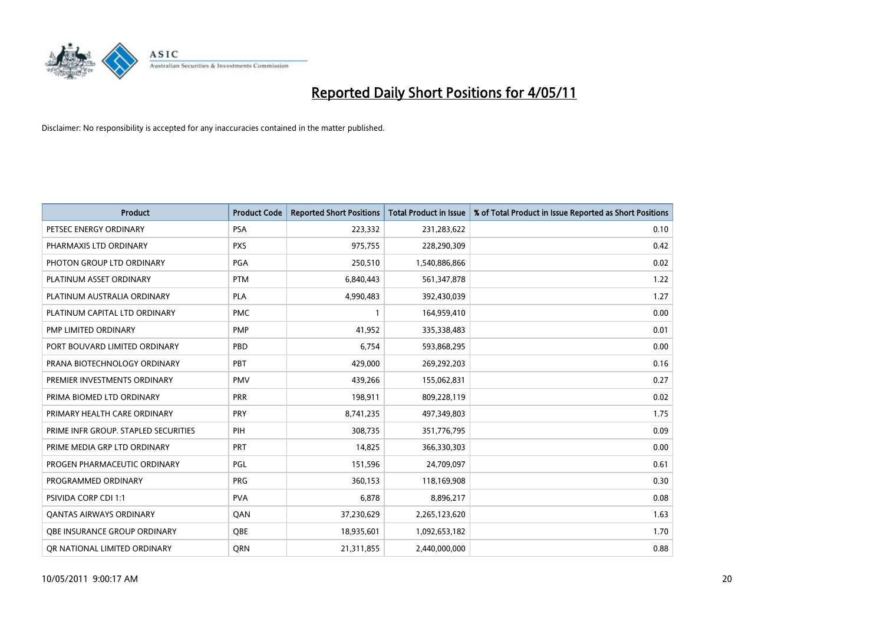

| <b>Product</b>                       | <b>Product Code</b> | <b>Reported Short Positions</b> | <b>Total Product in Issue</b> | % of Total Product in Issue Reported as Short Positions |
|--------------------------------------|---------------------|---------------------------------|-------------------------------|---------------------------------------------------------|
| PETSEC ENERGY ORDINARY               | <b>PSA</b>          | 223,332                         | 231,283,622                   | 0.10                                                    |
| PHARMAXIS LTD ORDINARY               | <b>PXS</b>          | 975,755                         | 228,290,309                   | 0.42                                                    |
| PHOTON GROUP LTD ORDINARY            | PGA                 | 250,510                         | 1,540,886,866                 | 0.02                                                    |
| PLATINUM ASSET ORDINARY              | <b>PTM</b>          | 6,840,443                       | 561,347,878                   | 1.22                                                    |
| PLATINUM AUSTRALIA ORDINARY          | PLA                 | 4,990,483                       | 392,430,039                   | 1.27                                                    |
| PLATINUM CAPITAL LTD ORDINARY        | <b>PMC</b>          |                                 | 164,959,410                   | 0.00                                                    |
| PMP LIMITED ORDINARY                 | <b>PMP</b>          | 41,952                          | 335,338,483                   | 0.01                                                    |
| PORT BOUVARD LIMITED ORDINARY        | PBD                 | 6,754                           | 593,868,295                   | 0.00                                                    |
| PRANA BIOTECHNOLOGY ORDINARY         | PBT                 | 429,000                         | 269,292,203                   | 0.16                                                    |
| PREMIER INVESTMENTS ORDINARY         | <b>PMV</b>          | 439,266                         | 155,062,831                   | 0.27                                                    |
| PRIMA BIOMED LTD ORDINARY            | PRR                 | 198,911                         | 809,228,119                   | 0.02                                                    |
| PRIMARY HEALTH CARE ORDINARY         | PRY                 | 8,741,235                       | 497,349,803                   | 1.75                                                    |
| PRIME INFR GROUP. STAPLED SECURITIES | PIH                 | 308.735                         | 351,776,795                   | 0.09                                                    |
| PRIME MEDIA GRP LTD ORDINARY         | PRT                 | 14,825                          | 366,330,303                   | 0.00                                                    |
| PROGEN PHARMACEUTIC ORDINARY         | <b>PGL</b>          | 151,596                         | 24,709,097                    | 0.61                                                    |
| PROGRAMMED ORDINARY                  | <b>PRG</b>          | 360,153                         | 118,169,908                   | 0.30                                                    |
| <b>PSIVIDA CORP CDI 1:1</b>          | <b>PVA</b>          | 6,878                           | 8,896,217                     | 0.08                                                    |
| <b>QANTAS AIRWAYS ORDINARY</b>       | QAN                 | 37,230,629                      | 2,265,123,620                 | 1.63                                                    |
| OBE INSURANCE GROUP ORDINARY         | <b>OBE</b>          | 18,935,601                      | 1,092,653,182                 | 1.70                                                    |
| OR NATIONAL LIMITED ORDINARY         | <b>ORN</b>          | 21,311,855                      | 2,440,000,000                 | 0.88                                                    |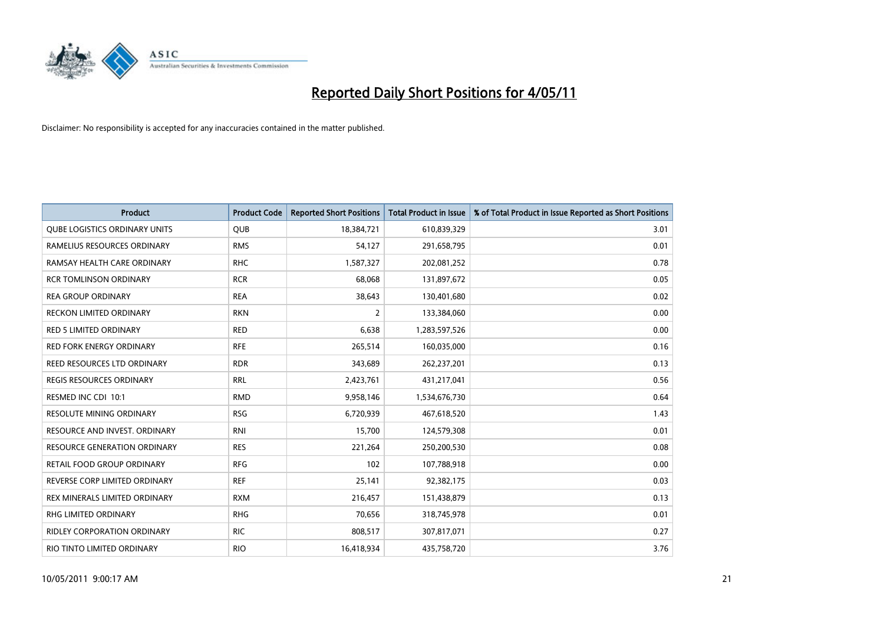

| <b>Product</b>                       | <b>Product Code</b> | <b>Reported Short Positions</b> | <b>Total Product in Issue</b> | % of Total Product in Issue Reported as Short Positions |
|--------------------------------------|---------------------|---------------------------------|-------------------------------|---------------------------------------------------------|
| <b>QUBE LOGISTICS ORDINARY UNITS</b> | <b>QUB</b>          | 18,384,721                      | 610,839,329                   | 3.01                                                    |
| RAMELIUS RESOURCES ORDINARY          | <b>RMS</b>          | 54,127                          | 291,658,795                   | 0.01                                                    |
| RAMSAY HEALTH CARE ORDINARY          | <b>RHC</b>          | 1,587,327                       | 202,081,252                   | 0.78                                                    |
| <b>RCR TOMLINSON ORDINARY</b>        | <b>RCR</b>          | 68,068                          | 131,897,672                   | 0.05                                                    |
| <b>REA GROUP ORDINARY</b>            | <b>REA</b>          | 38,643                          | 130,401,680                   | 0.02                                                    |
| <b>RECKON LIMITED ORDINARY</b>       | <b>RKN</b>          | $\overline{2}$                  | 133,384,060                   | 0.00                                                    |
| <b>RED 5 LIMITED ORDINARY</b>        | <b>RED</b>          | 6,638                           | 1,283,597,526                 | 0.00                                                    |
| <b>RED FORK ENERGY ORDINARY</b>      | <b>RFE</b>          | 265,514                         | 160,035,000                   | 0.16                                                    |
| REED RESOURCES LTD ORDINARY          | <b>RDR</b>          | 343,689                         | 262,237,201                   | 0.13                                                    |
| <b>REGIS RESOURCES ORDINARY</b>      | <b>RRL</b>          | 2,423,761                       | 431,217,041                   | 0.56                                                    |
| RESMED INC CDI 10:1                  | <b>RMD</b>          | 9,958,146                       | 1,534,676,730                 | 0.64                                                    |
| RESOLUTE MINING ORDINARY             | <b>RSG</b>          | 6,720,939                       | 467,618,520                   | 1.43                                                    |
| RESOURCE AND INVEST. ORDINARY        | <b>RNI</b>          | 15,700                          | 124,579,308                   | 0.01                                                    |
| <b>RESOURCE GENERATION ORDINARY</b>  | <b>RES</b>          | 221,264                         | 250,200,530                   | 0.08                                                    |
| <b>RETAIL FOOD GROUP ORDINARY</b>    | <b>RFG</b>          | 102                             | 107,788,918                   | 0.00                                                    |
| REVERSE CORP LIMITED ORDINARY        | <b>REF</b>          | 25,141                          | 92,382,175                    | 0.03                                                    |
| REX MINERALS LIMITED ORDINARY        | <b>RXM</b>          | 216,457                         | 151,438,879                   | 0.13                                                    |
| RHG LIMITED ORDINARY                 | <b>RHG</b>          | 70,656                          | 318,745,978                   | 0.01                                                    |
| <b>RIDLEY CORPORATION ORDINARY</b>   | <b>RIC</b>          | 808,517                         | 307,817,071                   | 0.27                                                    |
| RIO TINTO LIMITED ORDINARY           | <b>RIO</b>          | 16,418,934                      | 435,758,720                   | 3.76                                                    |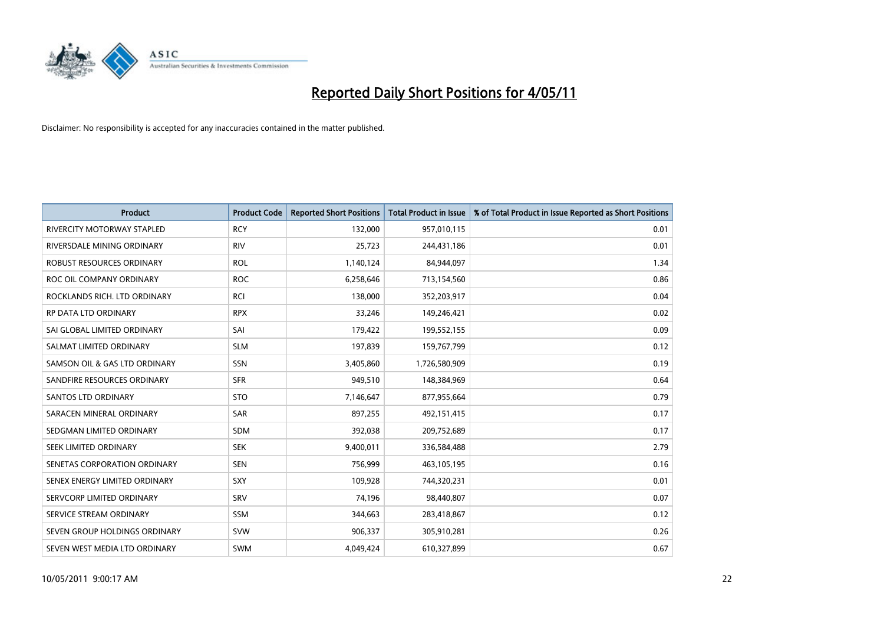

| <b>Product</b>                    | <b>Product Code</b> | <b>Reported Short Positions</b> | Total Product in Issue | % of Total Product in Issue Reported as Short Positions |
|-----------------------------------|---------------------|---------------------------------|------------------------|---------------------------------------------------------|
| <b>RIVERCITY MOTORWAY STAPLED</b> | <b>RCY</b>          | 132,000                         | 957,010,115            | 0.01                                                    |
| RIVERSDALE MINING ORDINARY        | <b>RIV</b>          | 25,723                          | 244,431,186            | 0.01                                                    |
| ROBUST RESOURCES ORDINARY         | <b>ROL</b>          | 1,140,124                       | 84,944,097             | 1.34                                                    |
| ROC OIL COMPANY ORDINARY          | <b>ROC</b>          | 6,258,646                       | 713,154,560            | 0.86                                                    |
| ROCKLANDS RICH. LTD ORDINARY      | RCI                 | 138,000                         | 352,203,917            | 0.04                                                    |
| <b>RP DATA LTD ORDINARY</b>       | <b>RPX</b>          | 33,246                          | 149,246,421            | 0.02                                                    |
| SAI GLOBAL LIMITED ORDINARY       | SAI                 | 179,422                         | 199,552,155            | 0.09                                                    |
| SALMAT LIMITED ORDINARY           | <b>SLM</b>          | 197,839                         | 159,767,799            | 0.12                                                    |
| SAMSON OIL & GAS LTD ORDINARY     | SSN                 | 3,405,860                       | 1,726,580,909          | 0.19                                                    |
| SANDFIRE RESOURCES ORDINARY       | <b>SFR</b>          | 949,510                         | 148,384,969            | 0.64                                                    |
| <b>SANTOS LTD ORDINARY</b>        | <b>STO</b>          | 7,146,647                       | 877,955,664            | 0.79                                                    |
| SARACEN MINERAL ORDINARY          | <b>SAR</b>          | 897,255                         | 492,151,415            | 0.17                                                    |
| SEDGMAN LIMITED ORDINARY          | <b>SDM</b>          | 392,038                         | 209,752,689            | 0.17                                                    |
| SEEK LIMITED ORDINARY             | <b>SEK</b>          | 9,400,011                       | 336,584,488            | 2.79                                                    |
| SENETAS CORPORATION ORDINARY      | <b>SEN</b>          | 756,999                         | 463,105,195            | 0.16                                                    |
| SENEX ENERGY LIMITED ORDINARY     | SXY                 | 109.928                         | 744,320,231            | 0.01                                                    |
| SERVCORP LIMITED ORDINARY         | SRV                 | 74,196                          | 98,440,807             | 0.07                                                    |
| SERVICE STREAM ORDINARY           | <b>SSM</b>          | 344,663                         | 283,418,867            | 0.12                                                    |
| SEVEN GROUP HOLDINGS ORDINARY     | <b>SVW</b>          | 906,337                         | 305,910,281            | 0.26                                                    |
| SEVEN WEST MEDIA LTD ORDINARY     | <b>SWM</b>          | 4,049,424                       | 610,327,899            | 0.67                                                    |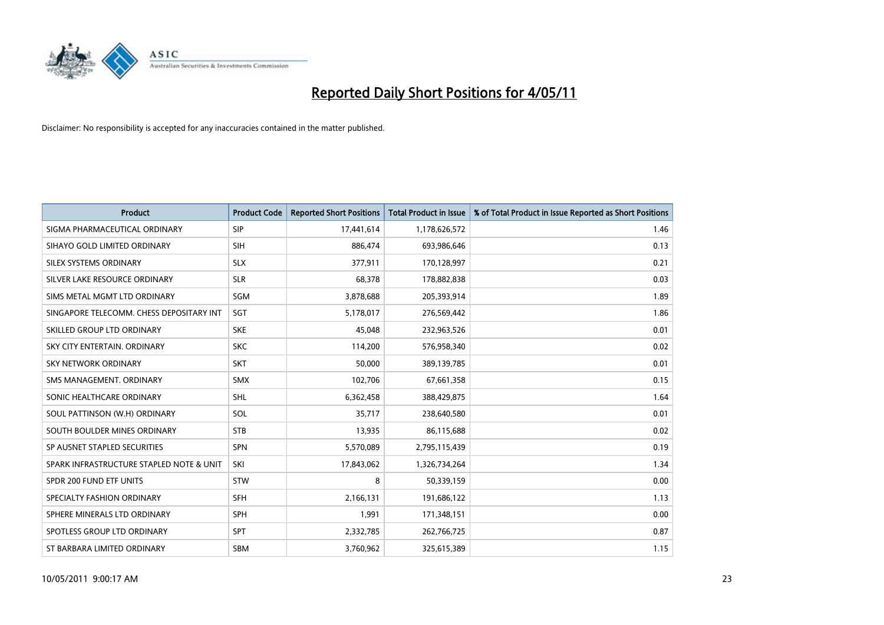

| <b>Product</b>                           | <b>Product Code</b> | <b>Reported Short Positions</b> | <b>Total Product in Issue</b> | % of Total Product in Issue Reported as Short Positions |
|------------------------------------------|---------------------|---------------------------------|-------------------------------|---------------------------------------------------------|
| SIGMA PHARMACEUTICAL ORDINARY            | SIP                 | 17,441,614                      | 1,178,626,572                 | 1.46                                                    |
| SIHAYO GOLD LIMITED ORDINARY             | <b>SIH</b>          | 886,474                         | 693,986,646                   | 0.13                                                    |
| SILEX SYSTEMS ORDINARY                   | <b>SLX</b>          | 377,911                         | 170,128,997                   | 0.21                                                    |
| SILVER LAKE RESOURCE ORDINARY            | <b>SLR</b>          | 68,378                          | 178,882,838                   | 0.03                                                    |
| SIMS METAL MGMT LTD ORDINARY             | SGM                 | 3,878,688                       | 205,393,914                   | 1.89                                                    |
| SINGAPORE TELECOMM. CHESS DEPOSITARY INT | SGT                 | 5,178,017                       | 276,569,442                   | 1.86                                                    |
| SKILLED GROUP LTD ORDINARY               | <b>SKE</b>          | 45,048                          | 232,963,526                   | 0.01                                                    |
| SKY CITY ENTERTAIN. ORDINARY             | <b>SKC</b>          | 114,200                         | 576,958,340                   | 0.02                                                    |
| <b>SKY NETWORK ORDINARY</b>              | <b>SKT</b>          | 50,000                          | 389,139,785                   | 0.01                                                    |
| SMS MANAGEMENT, ORDINARY                 | <b>SMX</b>          | 102,706                         | 67,661,358                    | 0.15                                                    |
| SONIC HEALTHCARE ORDINARY                | <b>SHL</b>          | 6,362,458                       | 388,429,875                   | 1.64                                                    |
| SOUL PATTINSON (W.H) ORDINARY            | SOL                 | 35,717                          | 238,640,580                   | 0.01                                                    |
| SOUTH BOULDER MINES ORDINARY             | <b>STB</b>          | 13,935                          | 86,115,688                    | 0.02                                                    |
| SP AUSNET STAPLED SECURITIES             | SPN                 | 5,570,089                       | 2,795,115,439                 | 0.19                                                    |
| SPARK INFRASTRUCTURE STAPLED NOTE & UNIT | SKI                 | 17,843,062                      | 1,326,734,264                 | 1.34                                                    |
| SPDR 200 FUND ETF UNITS                  | STW                 | 8                               | 50,339,159                    | 0.00                                                    |
| SPECIALTY FASHION ORDINARY               | <b>SFH</b>          | 2,166,131                       | 191,686,122                   | 1.13                                                    |
| SPHERE MINERALS LTD ORDINARY             | <b>SPH</b>          | 1,991                           | 171,348,151                   | 0.00                                                    |
| SPOTLESS GROUP LTD ORDINARY              | <b>SPT</b>          | 2,332,785                       | 262,766,725                   | 0.87                                                    |
| ST BARBARA LIMITED ORDINARY              | <b>SBM</b>          | 3,760,962                       | 325,615,389                   | 1.15                                                    |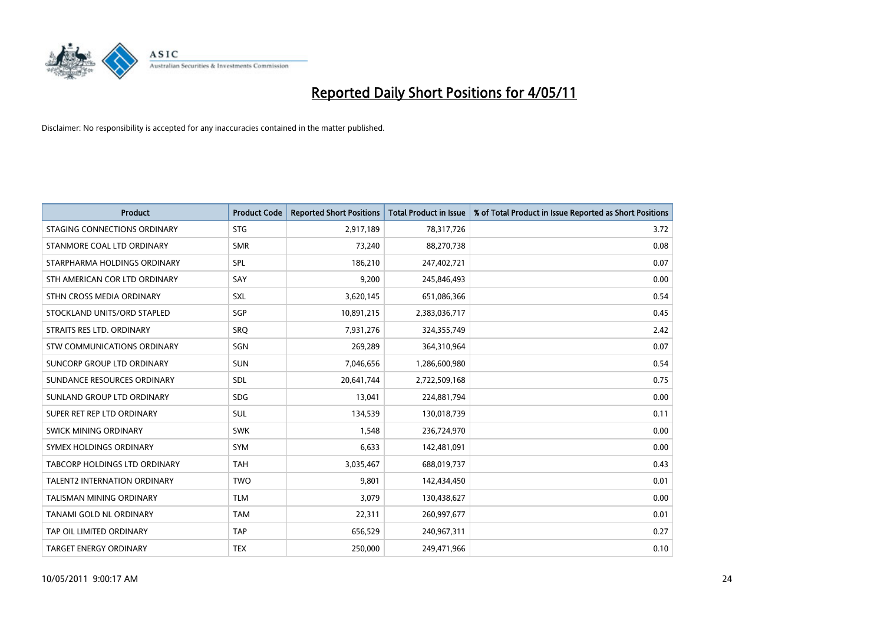

| <b>Product</b>                       | <b>Product Code</b> | <b>Reported Short Positions</b> | <b>Total Product in Issue</b> | % of Total Product in Issue Reported as Short Positions |
|--------------------------------------|---------------------|---------------------------------|-------------------------------|---------------------------------------------------------|
| STAGING CONNECTIONS ORDINARY         | <b>STG</b>          | 2,917,189                       | 78,317,726                    | 3.72                                                    |
| STANMORE COAL LTD ORDINARY           | <b>SMR</b>          | 73,240                          | 88,270,738                    | 0.08                                                    |
| STARPHARMA HOLDINGS ORDINARY         | SPL                 | 186,210                         | 247,402,721                   | 0.07                                                    |
| STH AMERICAN COR LTD ORDINARY        | SAY                 | 9,200                           | 245,846,493                   | 0.00                                                    |
| STHN CROSS MEDIA ORDINARY            | SXL                 | 3,620,145                       | 651,086,366                   | 0.54                                                    |
| STOCKLAND UNITS/ORD STAPLED          | SGP                 | 10,891,215                      | 2,383,036,717                 | 0.45                                                    |
| STRAITS RES LTD. ORDINARY            | SRO                 | 7,931,276                       | 324,355,749                   | 2.42                                                    |
| STW COMMUNICATIONS ORDINARY          | SGN                 | 269,289                         | 364,310,964                   | 0.07                                                    |
| SUNCORP GROUP LTD ORDINARY           | <b>SUN</b>          | 7,046,656                       | 1,286,600,980                 | 0.54                                                    |
| SUNDANCE RESOURCES ORDINARY          | <b>SDL</b>          | 20,641,744                      | 2,722,509,168                 | 0.75                                                    |
| SUNLAND GROUP LTD ORDINARY           | <b>SDG</b>          | 13,041                          | 224,881,794                   | 0.00                                                    |
| SUPER RET REP LTD ORDINARY           | SUL                 | 134,539                         | 130,018,739                   | 0.11                                                    |
| SWICK MINING ORDINARY                | <b>SWK</b>          | 1,548                           | 236,724,970                   | 0.00                                                    |
| SYMEX HOLDINGS ORDINARY              | SYM                 | 6,633                           | 142,481,091                   | 0.00                                                    |
| <b>TABCORP HOLDINGS LTD ORDINARY</b> | <b>TAH</b>          | 3,035,467                       | 688,019,737                   | 0.43                                                    |
| <b>TALENT2 INTERNATION ORDINARY</b>  | <b>TWO</b>          | 9,801                           | 142,434,450                   | 0.01                                                    |
| TALISMAN MINING ORDINARY             | <b>TLM</b>          | 3,079                           | 130,438,627                   | 0.00                                                    |
| TANAMI GOLD NL ORDINARY              | <b>TAM</b>          | 22,311                          | 260,997,677                   | 0.01                                                    |
| TAP OIL LIMITED ORDINARY             | <b>TAP</b>          | 656,529                         | 240,967,311                   | 0.27                                                    |
| <b>TARGET ENERGY ORDINARY</b>        | <b>TEX</b>          | 250,000                         | 249,471,966                   | 0.10                                                    |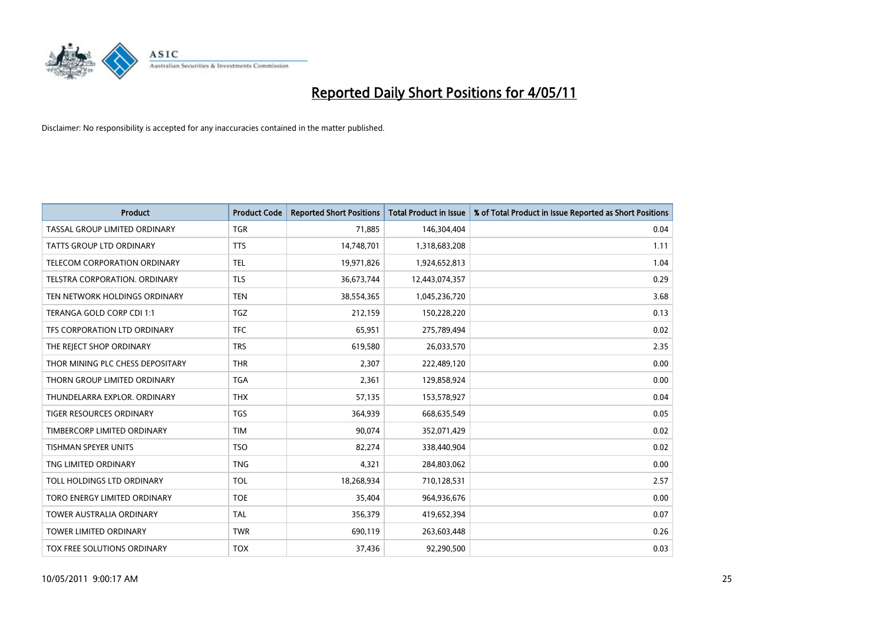

| <b>Product</b>                   | <b>Product Code</b> | <b>Reported Short Positions</b> | Total Product in Issue | % of Total Product in Issue Reported as Short Positions |
|----------------------------------|---------------------|---------------------------------|------------------------|---------------------------------------------------------|
| TASSAL GROUP LIMITED ORDINARY    | <b>TGR</b>          | 71,885                          | 146,304,404            | 0.04                                                    |
| TATTS GROUP LTD ORDINARY         | <b>TTS</b>          | 14,748,701                      | 1,318,683,208          | 1.11                                                    |
| TELECOM CORPORATION ORDINARY     | <b>TEL</b>          | 19,971,826                      | 1,924,652,813          | 1.04                                                    |
| TELSTRA CORPORATION. ORDINARY    | <b>TLS</b>          | 36,673,744                      | 12,443,074,357         | 0.29                                                    |
| TEN NETWORK HOLDINGS ORDINARY    | <b>TEN</b>          | 38,554,365                      | 1,045,236,720          | 3.68                                                    |
| TERANGA GOLD CORP CDI 1:1        | <b>TGZ</b>          | 212,159                         | 150,228,220            | 0.13                                                    |
| TFS CORPORATION LTD ORDINARY     | <b>TFC</b>          | 65,951                          | 275,789,494            | 0.02                                                    |
| THE REJECT SHOP ORDINARY         | <b>TRS</b>          | 619,580                         | 26,033,570             | 2.35                                                    |
| THOR MINING PLC CHESS DEPOSITARY | <b>THR</b>          | 2,307                           | 222,489,120            | 0.00                                                    |
| THORN GROUP LIMITED ORDINARY     | <b>TGA</b>          | 2,361                           | 129,858,924            | 0.00                                                    |
| THUNDELARRA EXPLOR. ORDINARY     | <b>THX</b>          | 57,135                          | 153,578,927            | 0.04                                                    |
| <b>TIGER RESOURCES ORDINARY</b>  | <b>TGS</b>          | 364,939                         | 668,635,549            | 0.05                                                    |
| TIMBERCORP LIMITED ORDINARY      | <b>TIM</b>          | 90,074                          | 352,071,429            | 0.02                                                    |
| <b>TISHMAN SPEYER UNITS</b>      | <b>TSO</b>          | 82,274                          | 338,440,904            | 0.02                                                    |
| TNG LIMITED ORDINARY             | <b>TNG</b>          | 4,321                           | 284,803,062            | 0.00                                                    |
| TOLL HOLDINGS LTD ORDINARY       | <b>TOL</b>          | 18,268,934                      | 710,128,531            | 2.57                                                    |
| TORO ENERGY LIMITED ORDINARY     | <b>TOE</b>          | 35,404                          | 964,936,676            | 0.00                                                    |
| TOWER AUSTRALIA ORDINARY         | <b>TAL</b>          | 356,379                         | 419,652,394            | 0.07                                                    |
| <b>TOWER LIMITED ORDINARY</b>    | <b>TWR</b>          | 690,119                         | 263,603,448            | 0.26                                                    |
| TOX FREE SOLUTIONS ORDINARY      | <b>TOX</b>          | 37,436                          | 92,290,500             | 0.03                                                    |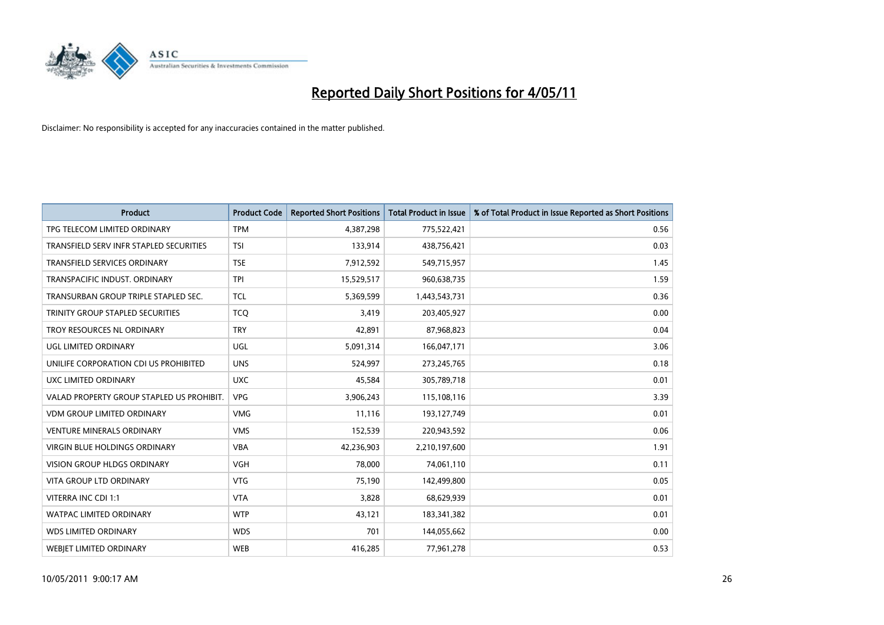

| <b>Product</b>                            | <b>Product Code</b> | <b>Reported Short Positions</b> | <b>Total Product in Issue</b> | % of Total Product in Issue Reported as Short Positions |
|-------------------------------------------|---------------------|---------------------------------|-------------------------------|---------------------------------------------------------|
| TPG TELECOM LIMITED ORDINARY              | <b>TPM</b>          | 4,387,298                       | 775,522,421                   | 0.56                                                    |
| TRANSFIELD SERV INFR STAPLED SECURITIES   | <b>TSI</b>          | 133,914                         | 438,756,421                   | 0.03                                                    |
| <b>TRANSFIELD SERVICES ORDINARY</b>       | <b>TSE</b>          | 7,912,592                       | 549,715,957                   | 1.45                                                    |
| TRANSPACIFIC INDUST. ORDINARY             | <b>TPI</b>          | 15,529,517                      | 960,638,735                   | 1.59                                                    |
| TRANSURBAN GROUP TRIPLE STAPLED SEC.      | <b>TCL</b>          | 5,369,599                       | 1,443,543,731                 | 0.36                                                    |
| TRINITY GROUP STAPLED SECURITIES          | <b>TCQ</b>          | 3.419                           | 203,405,927                   | 0.00                                                    |
| TROY RESOURCES NL ORDINARY                | <b>TRY</b>          | 42,891                          | 87,968,823                    | 0.04                                                    |
| UGL LIMITED ORDINARY                      | UGL                 | 5,091,314                       | 166,047,171                   | 3.06                                                    |
| UNILIFE CORPORATION CDI US PROHIBITED     | <b>UNS</b>          | 524,997                         | 273,245,765                   | 0.18                                                    |
| UXC LIMITED ORDINARY                      | <b>UXC</b>          | 45,584                          | 305,789,718                   | 0.01                                                    |
| VALAD PROPERTY GROUP STAPLED US PROHIBIT. | <b>VPG</b>          | 3,906,243                       | 115,108,116                   | 3.39                                                    |
| <b>VDM GROUP LIMITED ORDINARY</b>         | <b>VMG</b>          | 11,116                          | 193,127,749                   | 0.01                                                    |
| <b>VENTURE MINERALS ORDINARY</b>          | <b>VMS</b>          | 152,539                         | 220,943,592                   | 0.06                                                    |
| <b>VIRGIN BLUE HOLDINGS ORDINARY</b>      | <b>VBA</b>          | 42,236,903                      | 2,210,197,600                 | 1.91                                                    |
| <b>VISION GROUP HLDGS ORDINARY</b>        | <b>VGH</b>          | 78,000                          | 74,061,110                    | 0.11                                                    |
| <b>VITA GROUP LTD ORDINARY</b>            | <b>VTG</b>          | 75,190                          | 142,499,800                   | 0.05                                                    |
| VITERRA INC CDI 1:1                       | <b>VTA</b>          | 3,828                           | 68,629,939                    | 0.01                                                    |
| WATPAC LIMITED ORDINARY                   | <b>WTP</b>          | 43,121                          | 183,341,382                   | 0.01                                                    |
| <b>WDS LIMITED ORDINARY</b>               | <b>WDS</b>          | 701                             | 144,055,662                   | 0.00                                                    |
| WEBJET LIMITED ORDINARY                   | <b>WEB</b>          | 416,285                         | 77,961,278                    | 0.53                                                    |